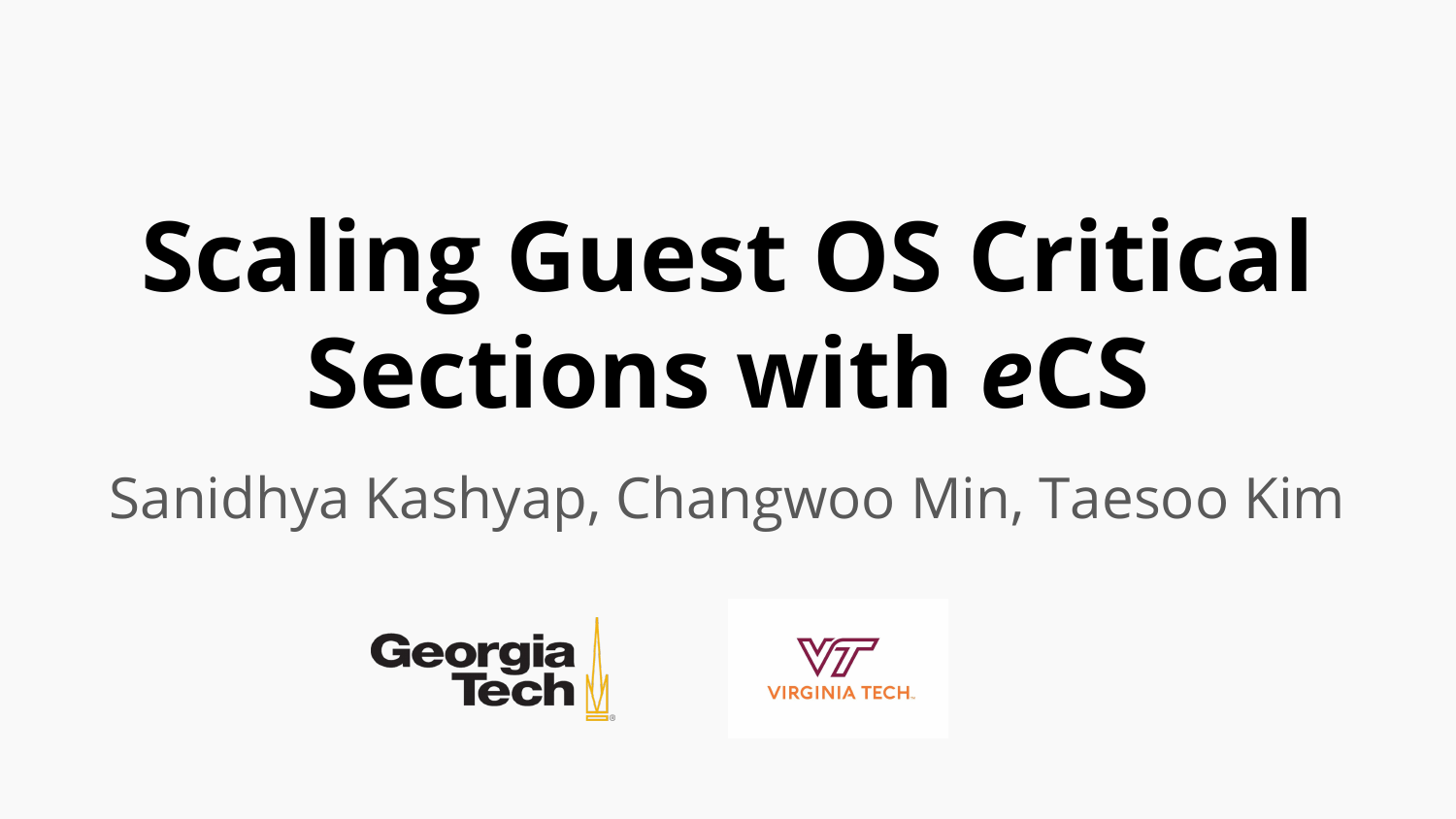# **Scaling Guest OS Critical Sections with** *e***CS**

Sanidhya Kashyap, Changwoo Min, Taesoo Kim



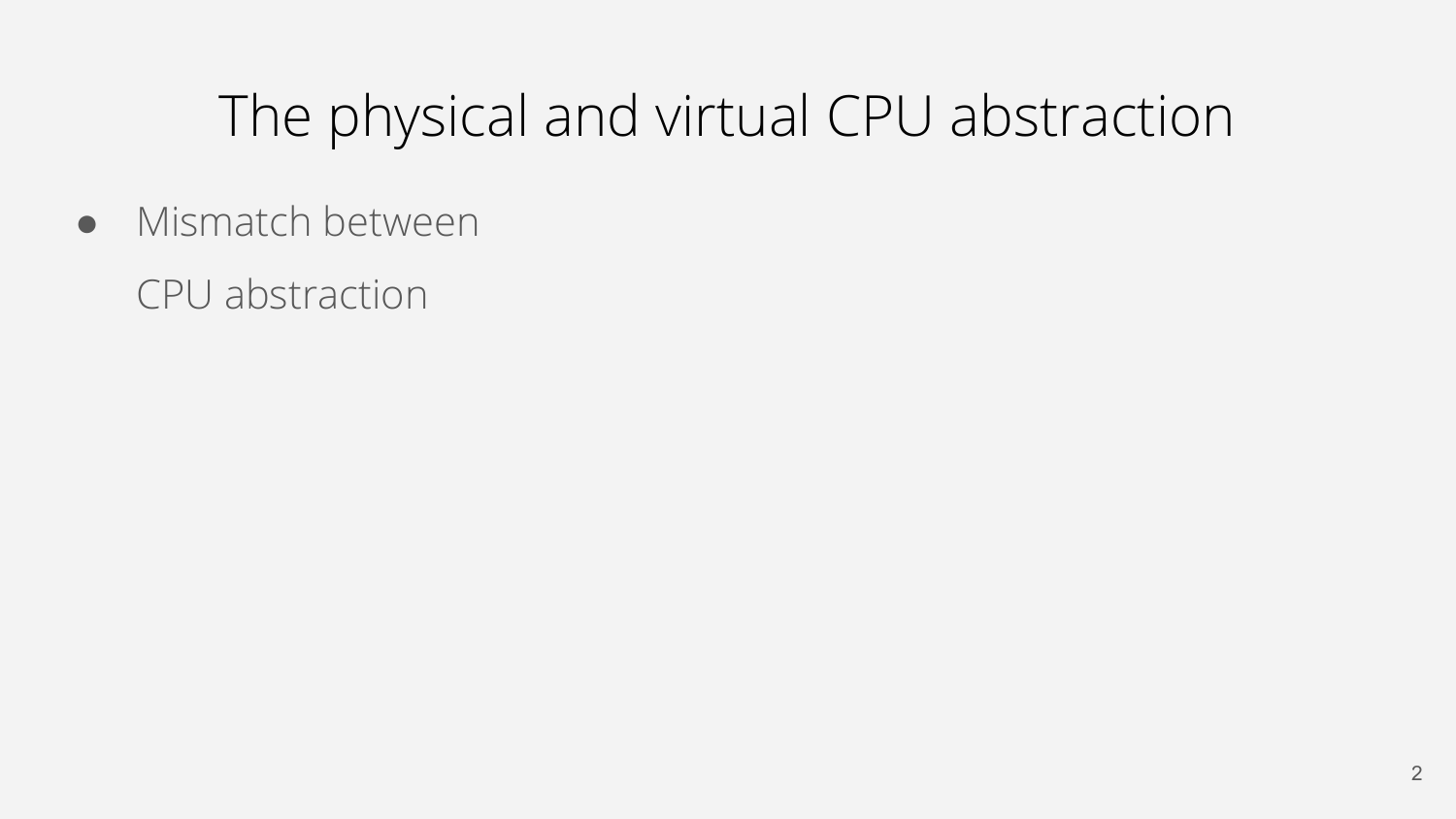● Mismatch between

CPU abstraction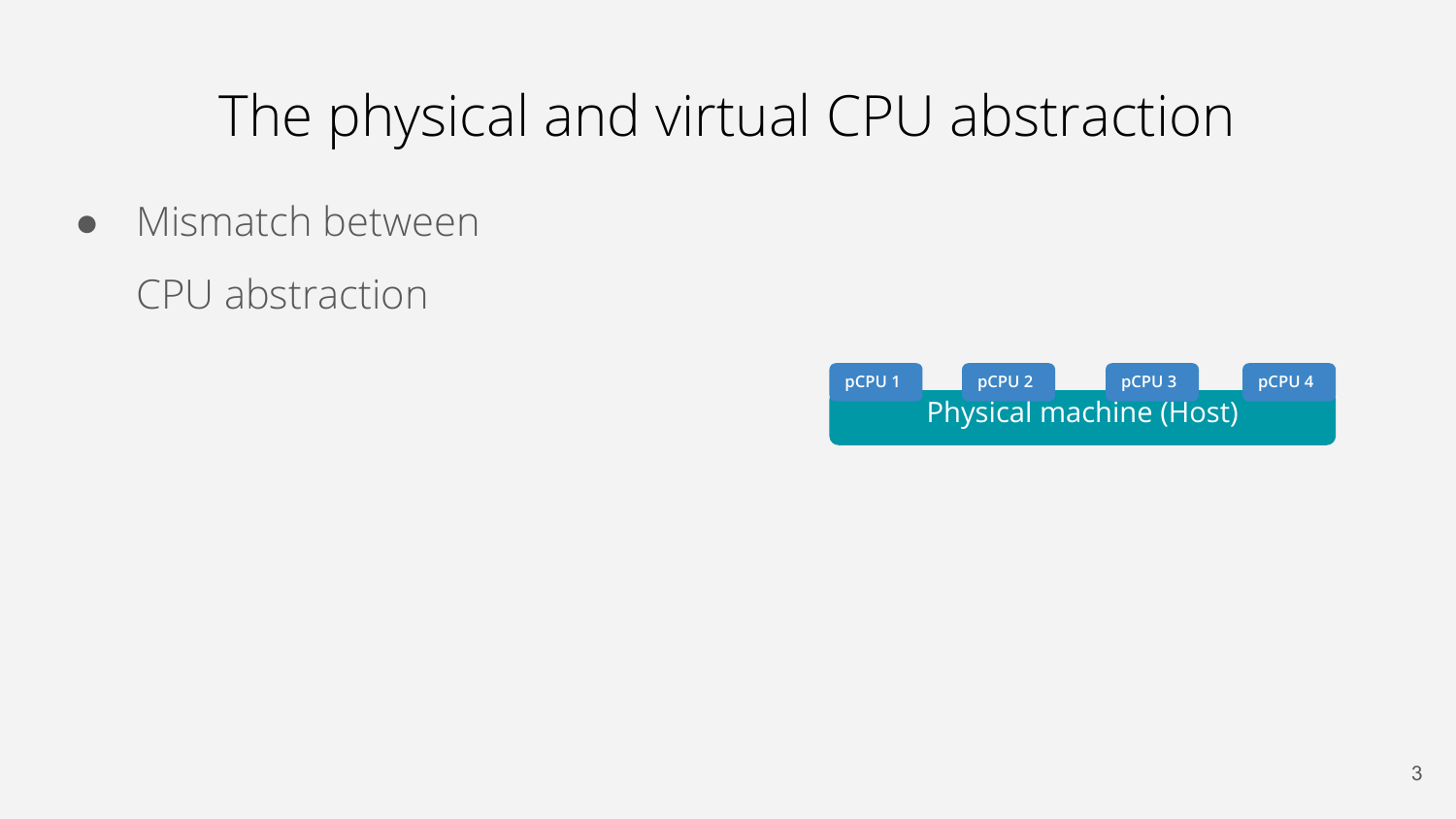- Mismatch between
	- CPU abstraction

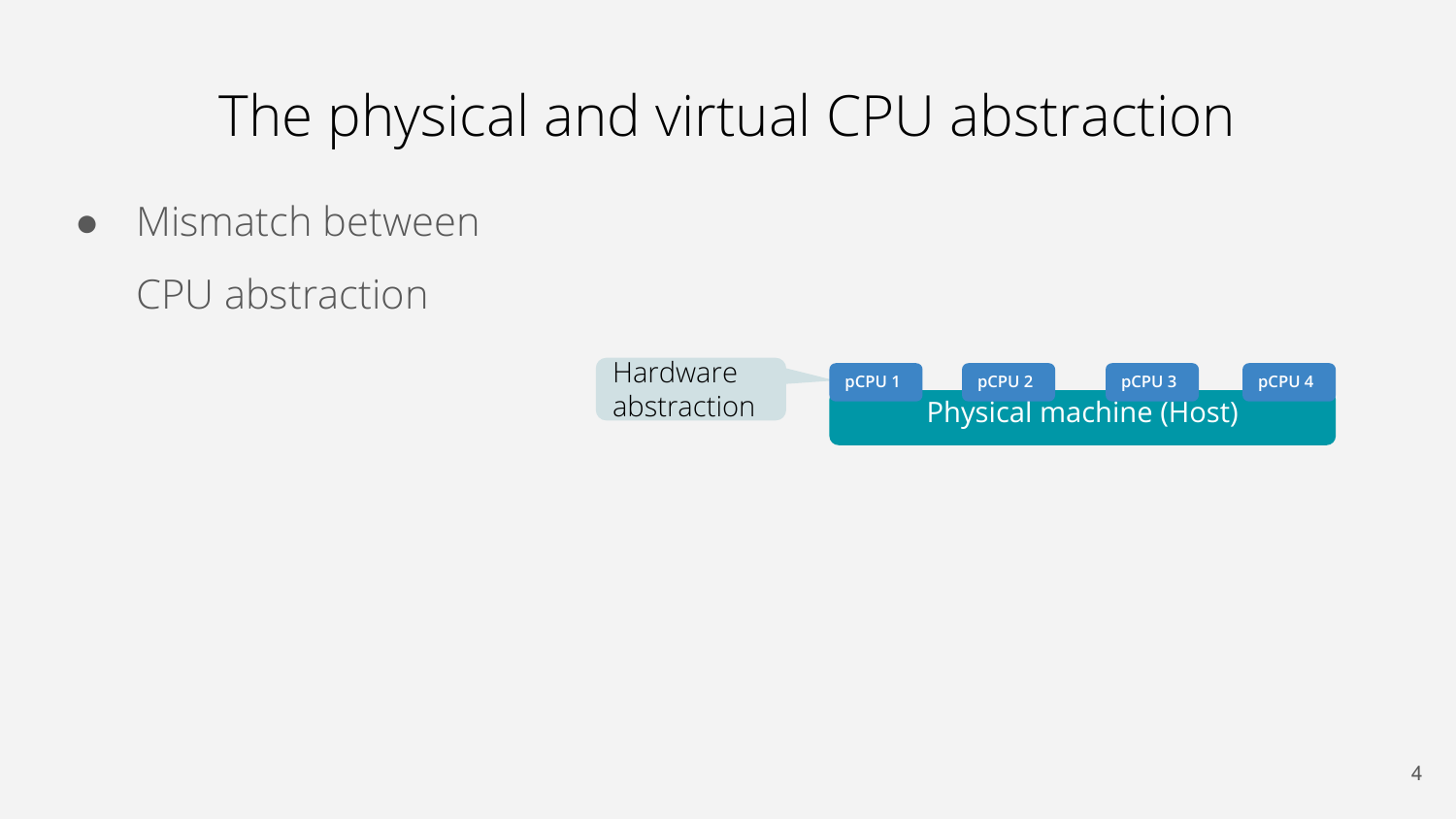- Mismatch between
	- CPU abstraction

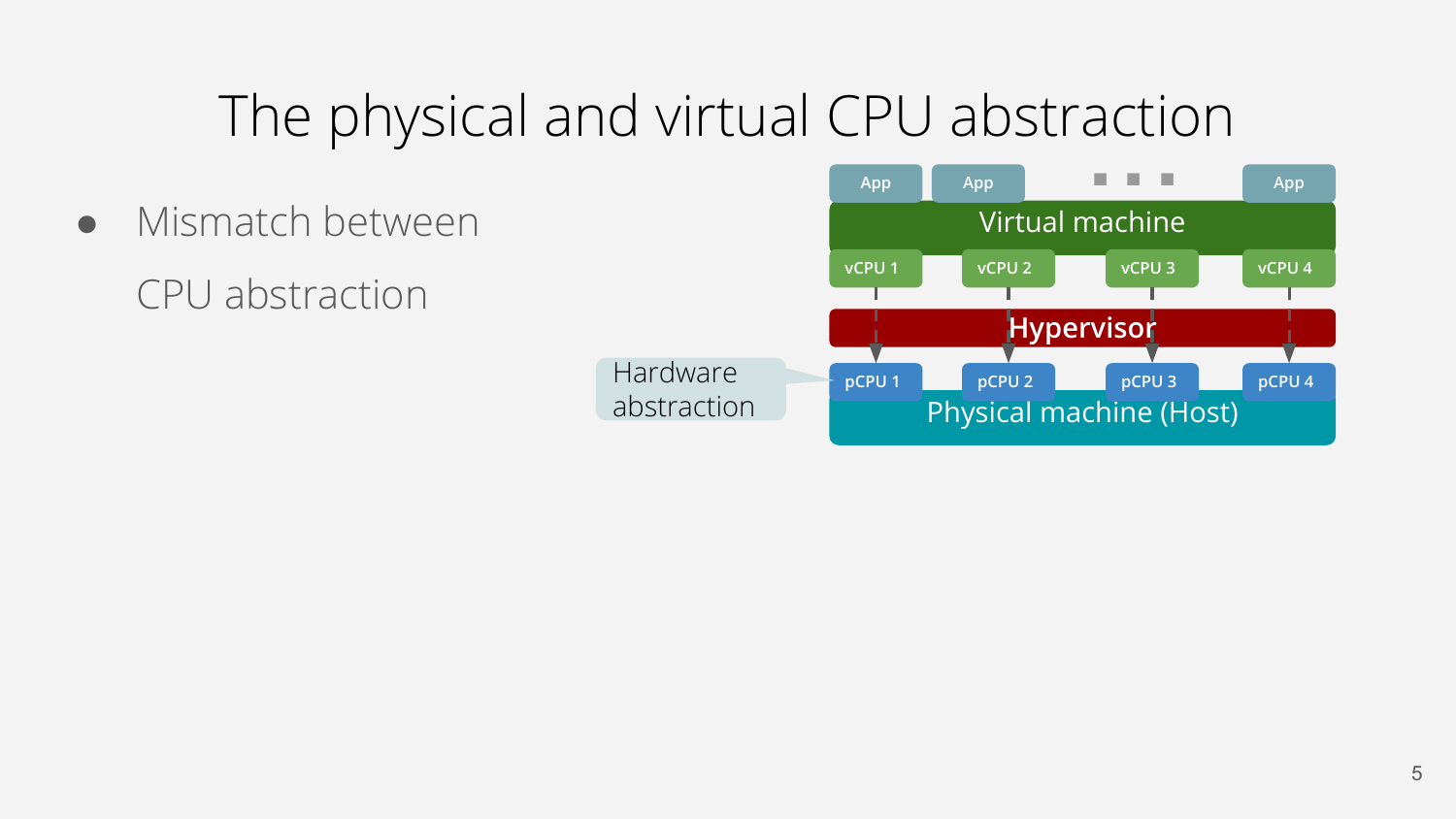**pCPU 1 Hypervisor pCPU 2 pCPU 3 pCPU 4** Virtual machine **vCPU 1 vCPU 2 vCPU 3 vCPU 4** Hardware abstraction • Mismatch between CPU abstraction

Physical machine (Host)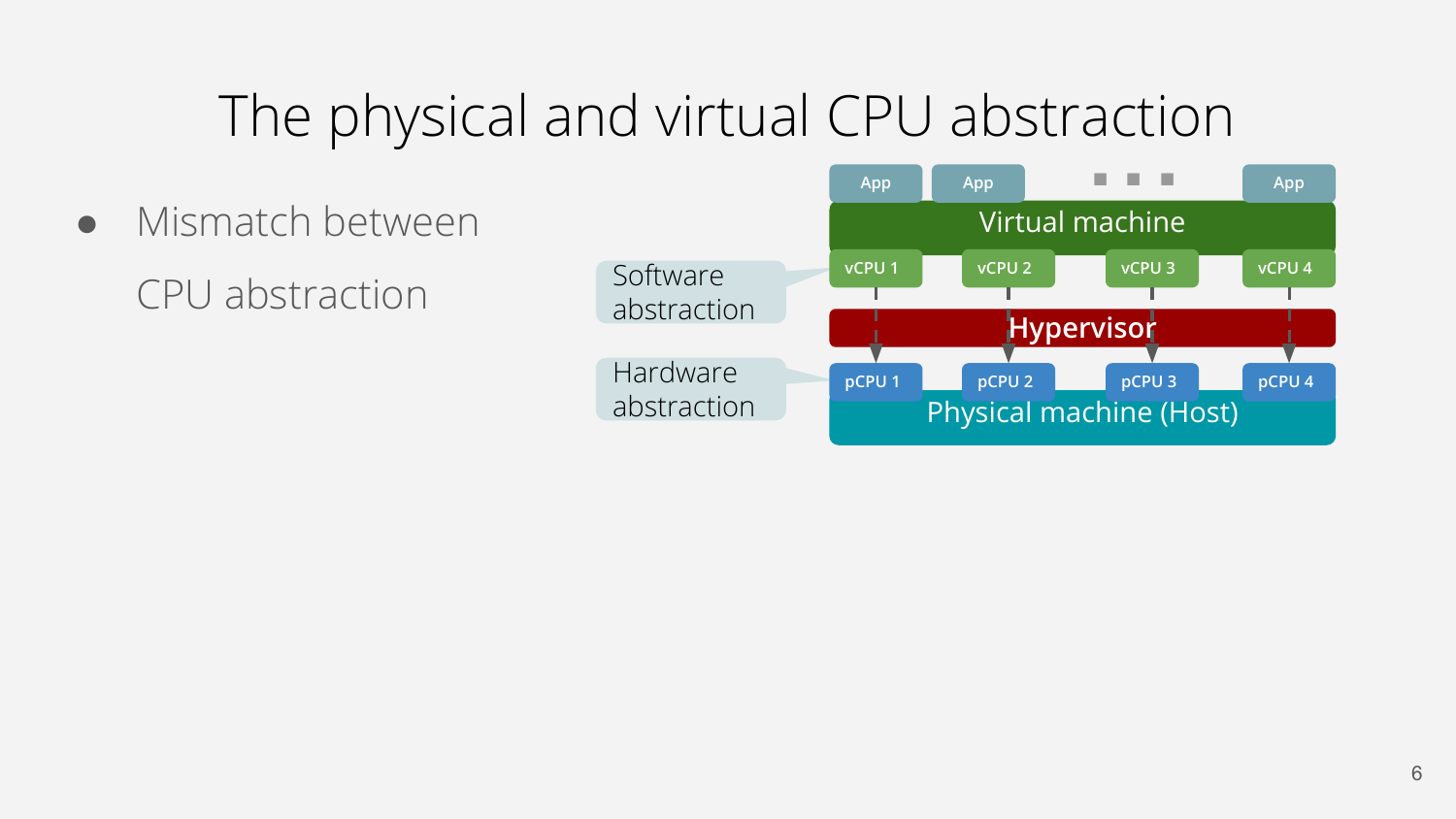• Mismatch between CPU abstraction

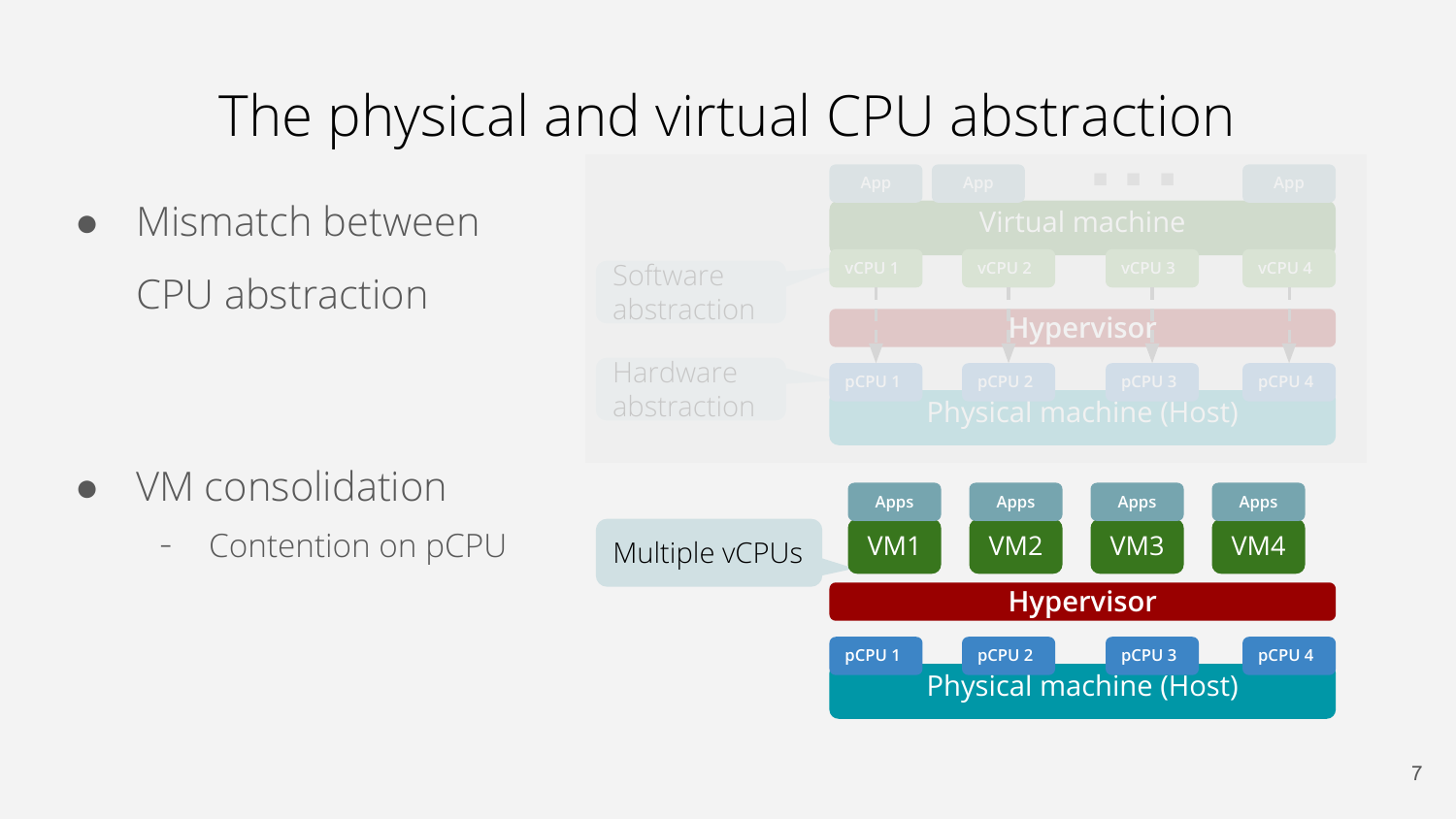Mismatch between CPU abstraction ● VM consolidation Contention on pCPU Hardware abstraction **Software** abstraction Multiple vCPUs Physical machine (Host) **pCPU 1 Hypervisor pCPU 2 pCPU 3 pCPU 4** VM2 **Apps** VM3 **Apps** VM4 **Apps** VM1 **Apps**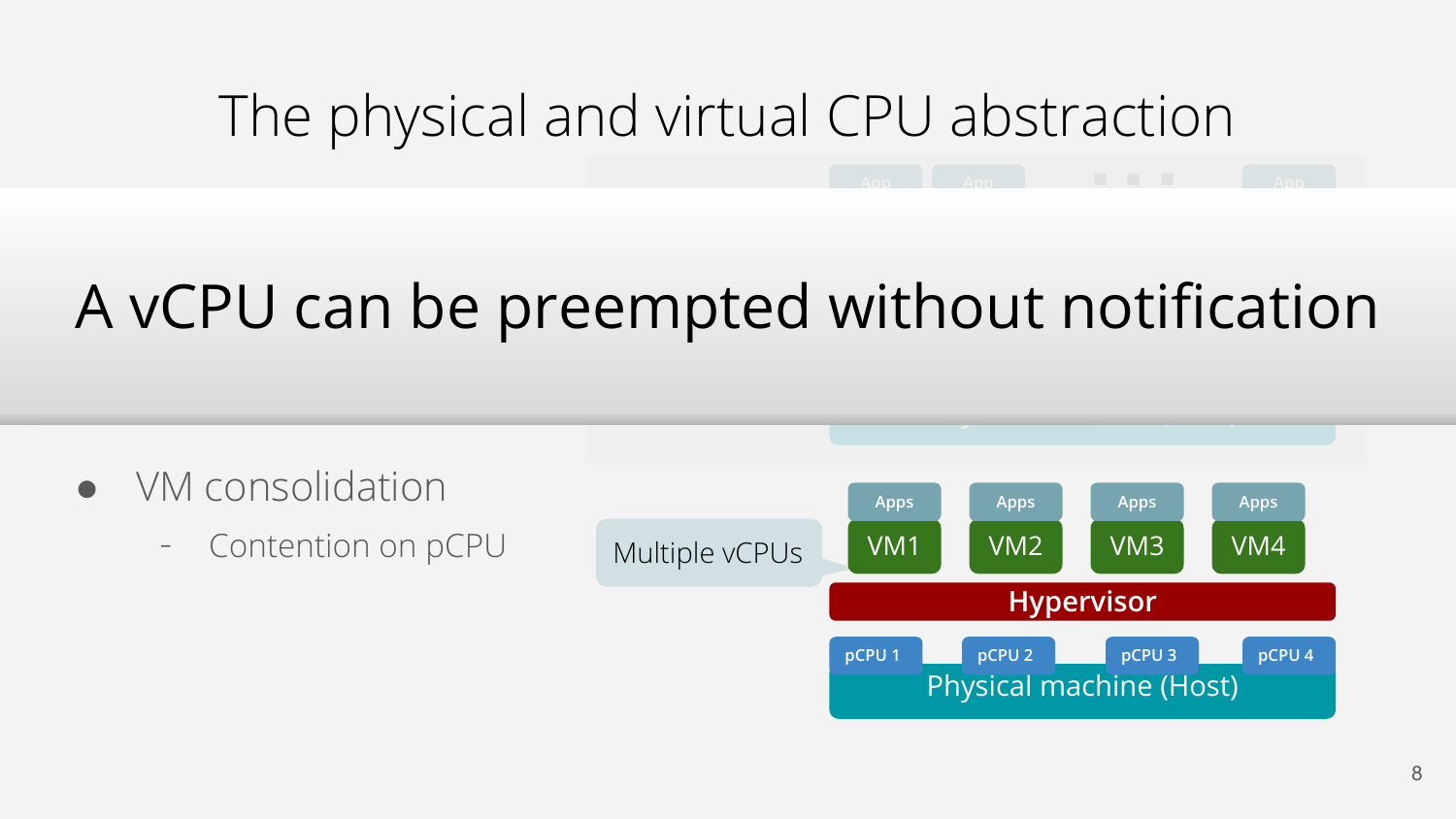# The physical and virtual CPU abstraction **App App** ... **App**

#### *S*CPU can be preempt empte **Hypervisor** A vCPU can be preempted without notification

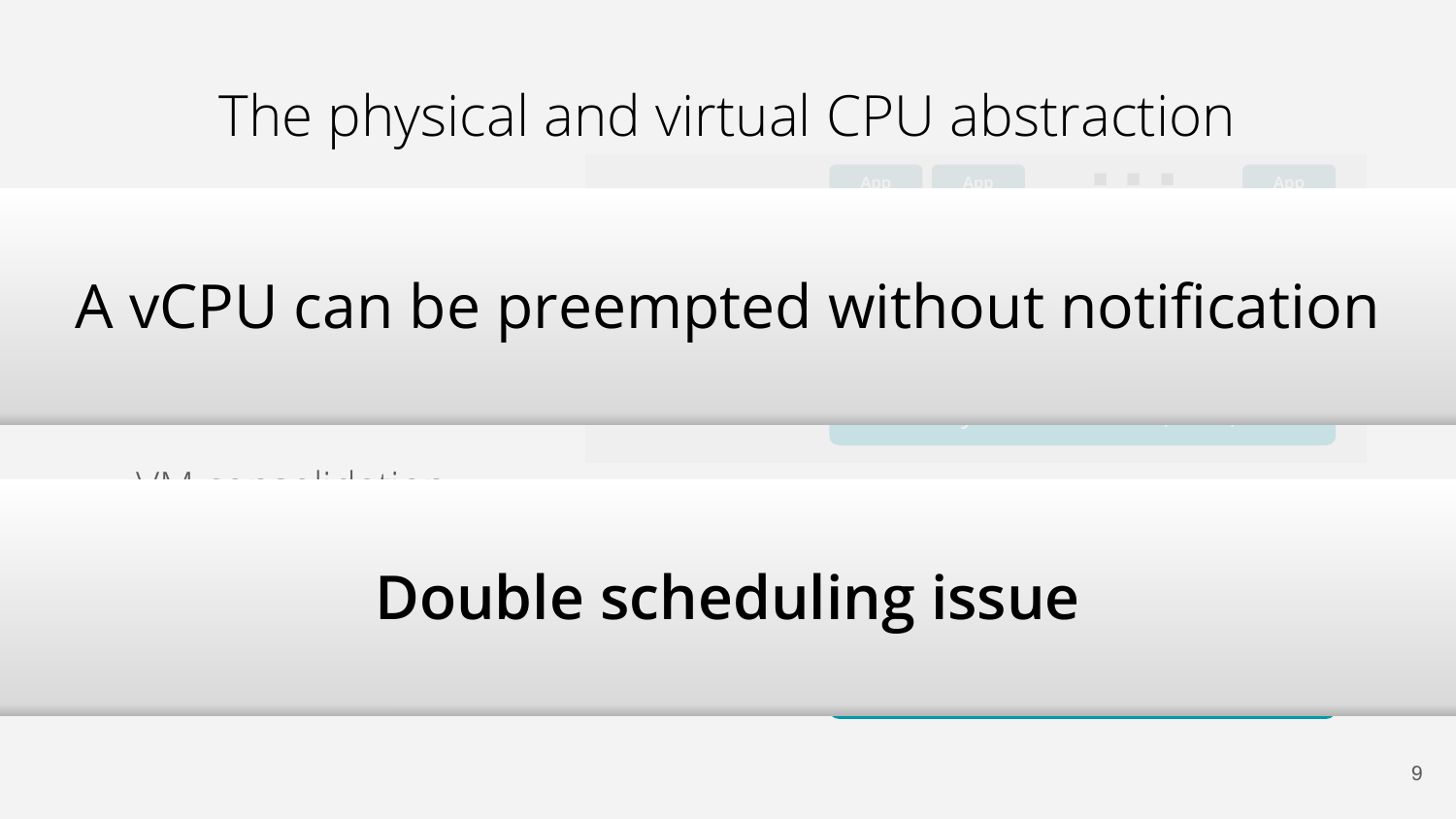# The physical and virtual CPU abstraction **App App** ... **App**

#### *S*CPU can be preempt empte **Hypervisor** A vCPU can be preempted without notification

Physical machine (Host)

● VM consolidation

# **Double scheduling issue**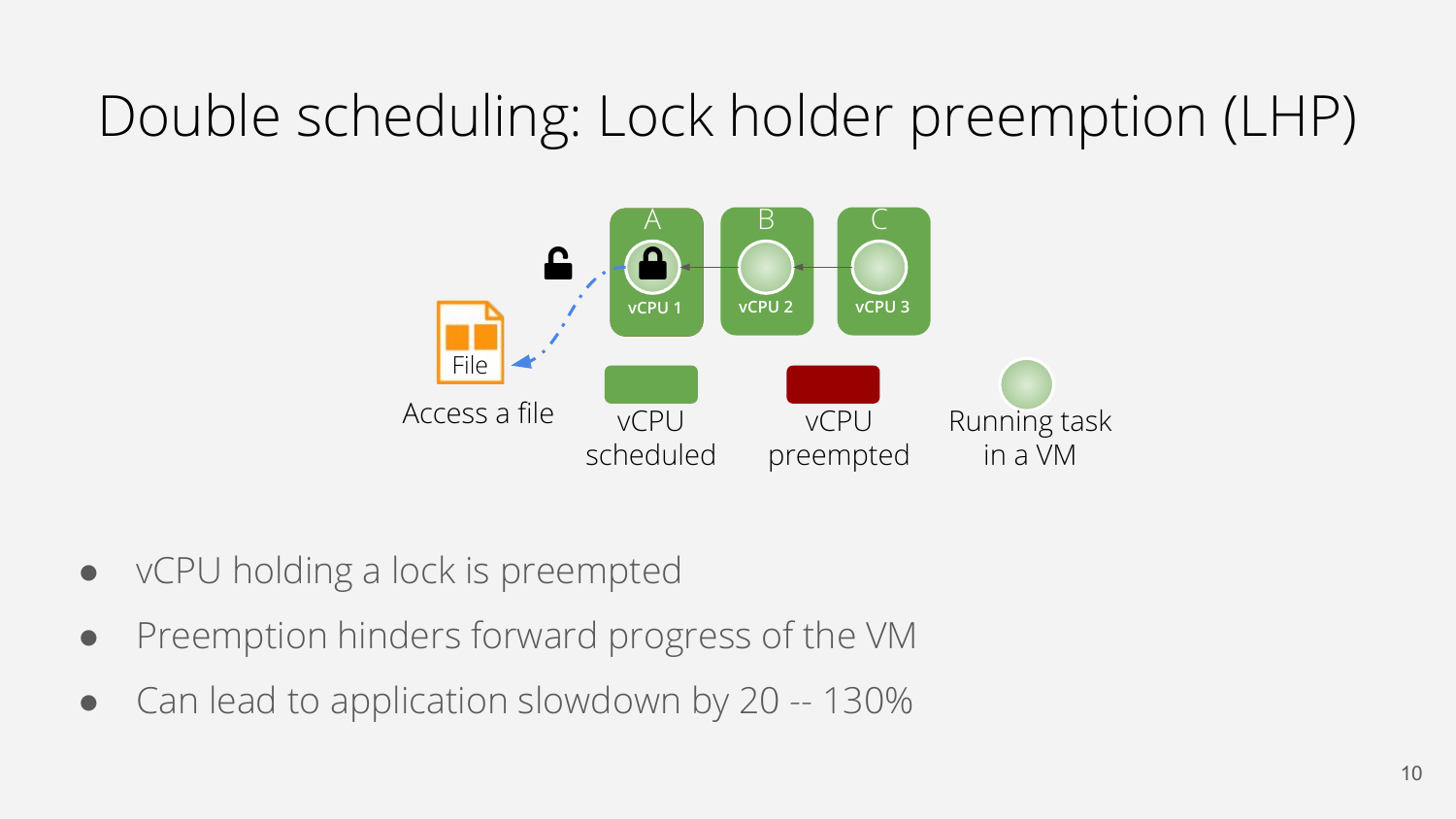## Double scheduling: Lock holder preemption (LHP)



- vCPU holding a lock is preempted
- Preemption hinders forward progress of the VM
- Can lead to application slowdown by 20 -- 130%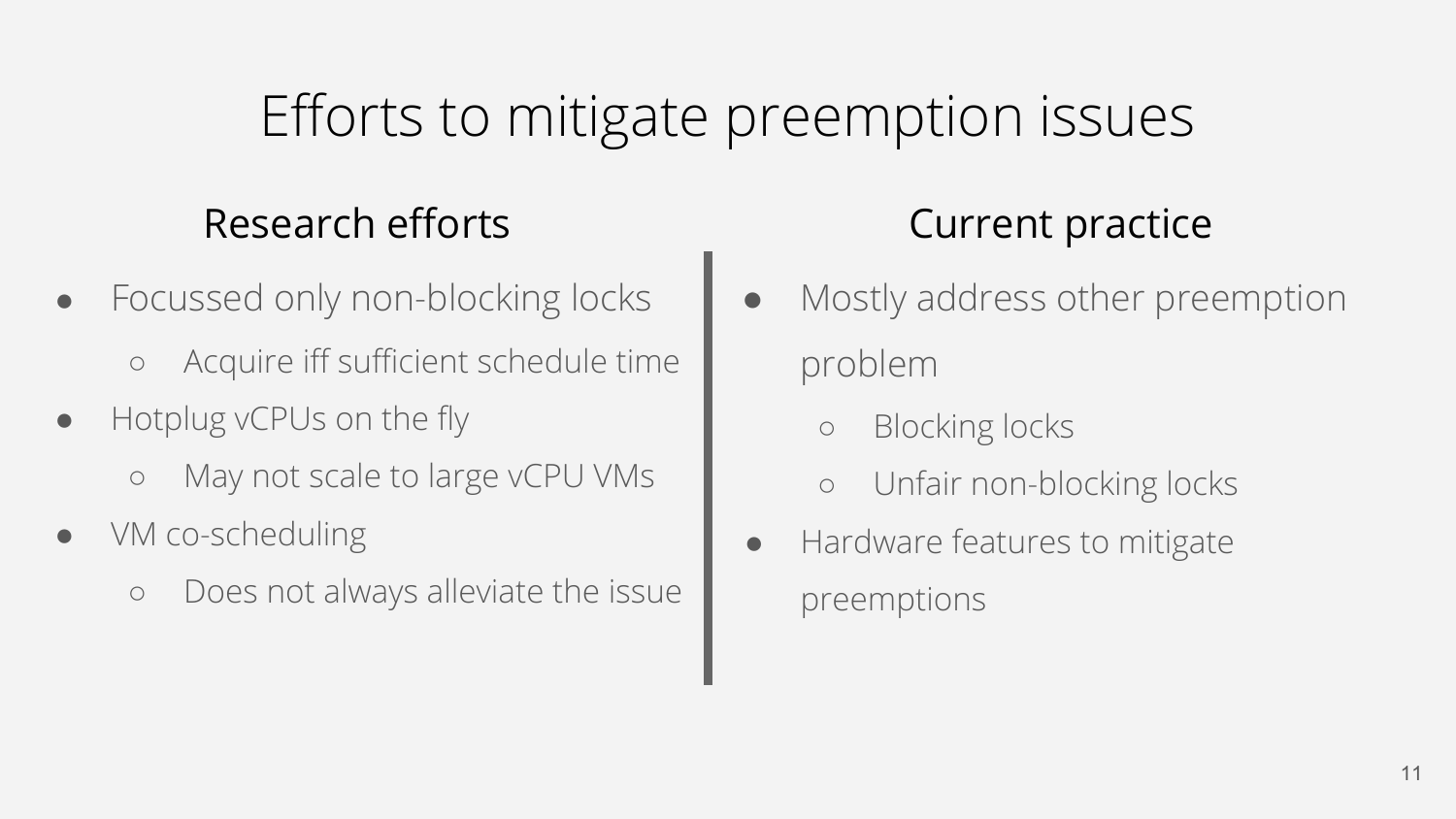#### Efforts to mitigate preemption issues

#### Research efforts The Current practice

- Focussed only non-blocking locks
	- Acquire iff sufficient schedule time
- Hotplug vCPUs on the fly
	- May not scale to large vCPU VMs
- VM co-scheduling
	- Does not always alleviate the issue

- Mostly address other preemption problem
	- Blocking locks
	- Unfair non-blocking locks
- Hardware features to mitigate preemptions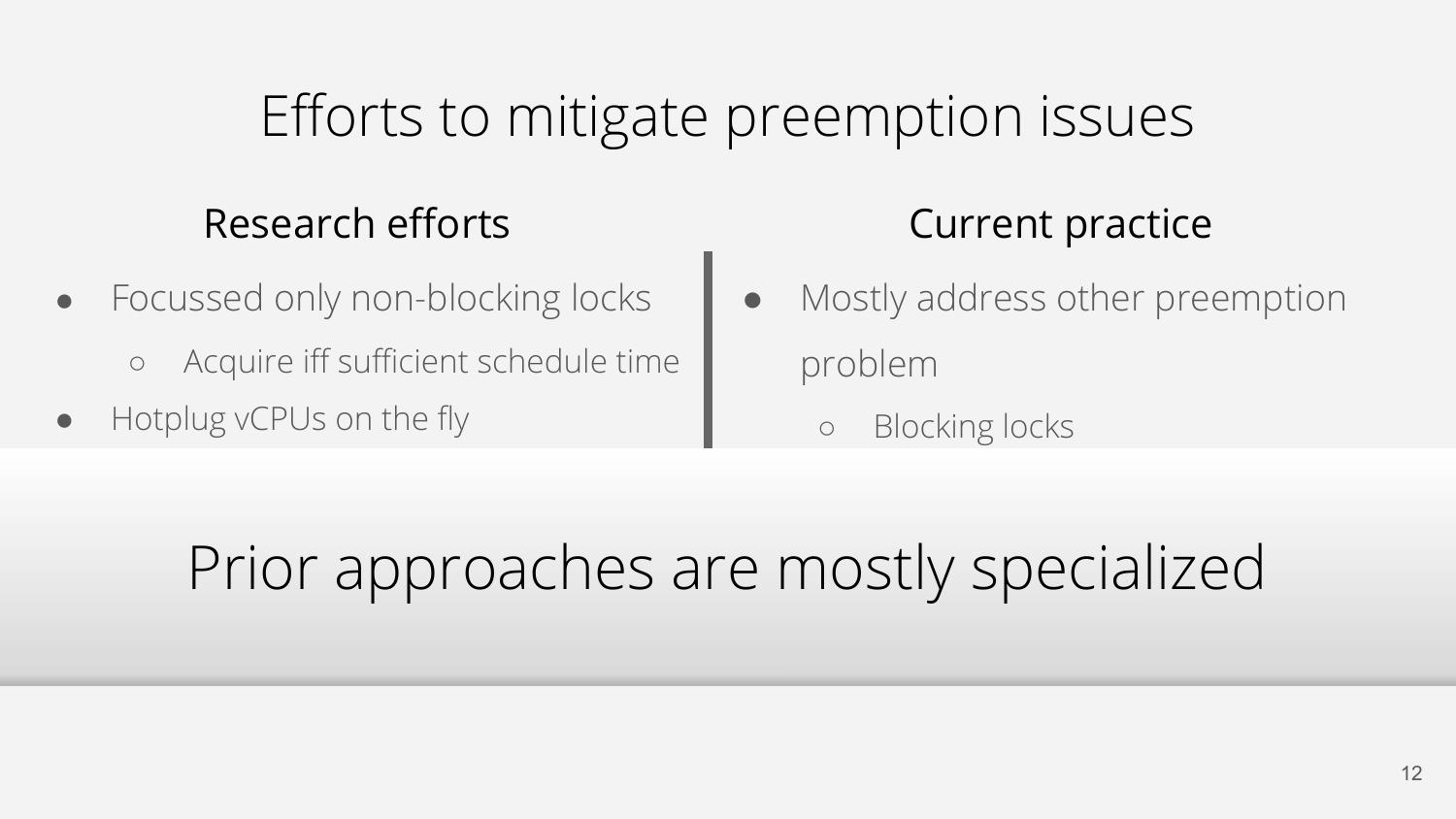#### Efforts to mitigate preemption issues

#### Research efforts The Current practice

- Focussed only non-blocking locks
	- Acquire iff sufficient schedule time
- Hotplug vCPUs on the fly

- Mostly address other preemption problem
	- **Blocking locks**

#### $\sim$   $\sim$   $\sim$ of the approaches a  $\frac{1}{2}$ Prior approaches are mostly specialized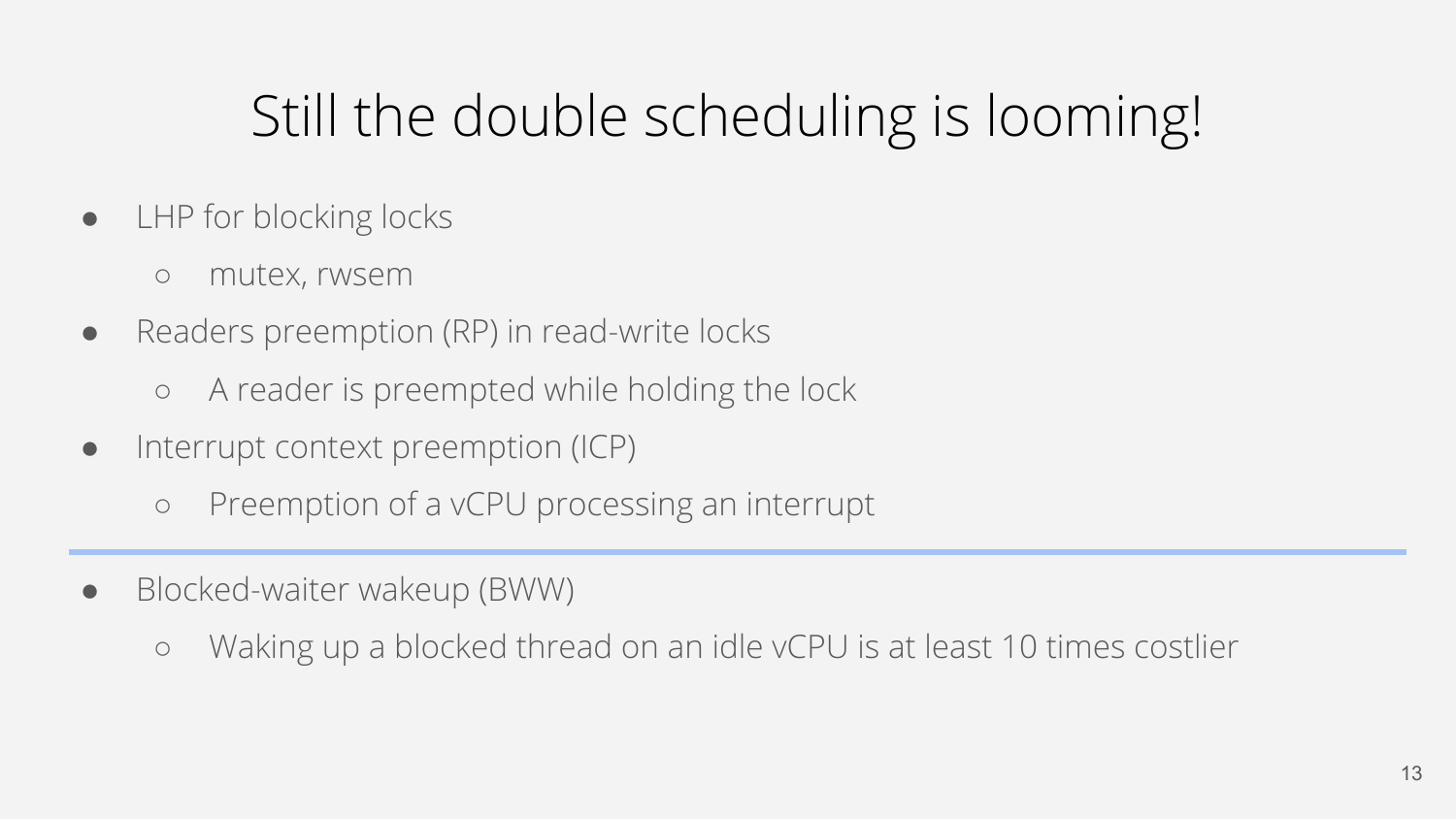## Still the double scheduling is looming!

- LHP for blocking locks
	- mutex, rwsem
- Readers preemption (RP) in read-write locks
	- A reader is preempted while holding the lock
- Interrupt context preemption (ICP)
	- Preemption of a vCPU processing an interrupt
- Blocked-waiter wakeup (BWW)
	- Waking up a blocked thread on an idle vCPU is at least 10 times costlier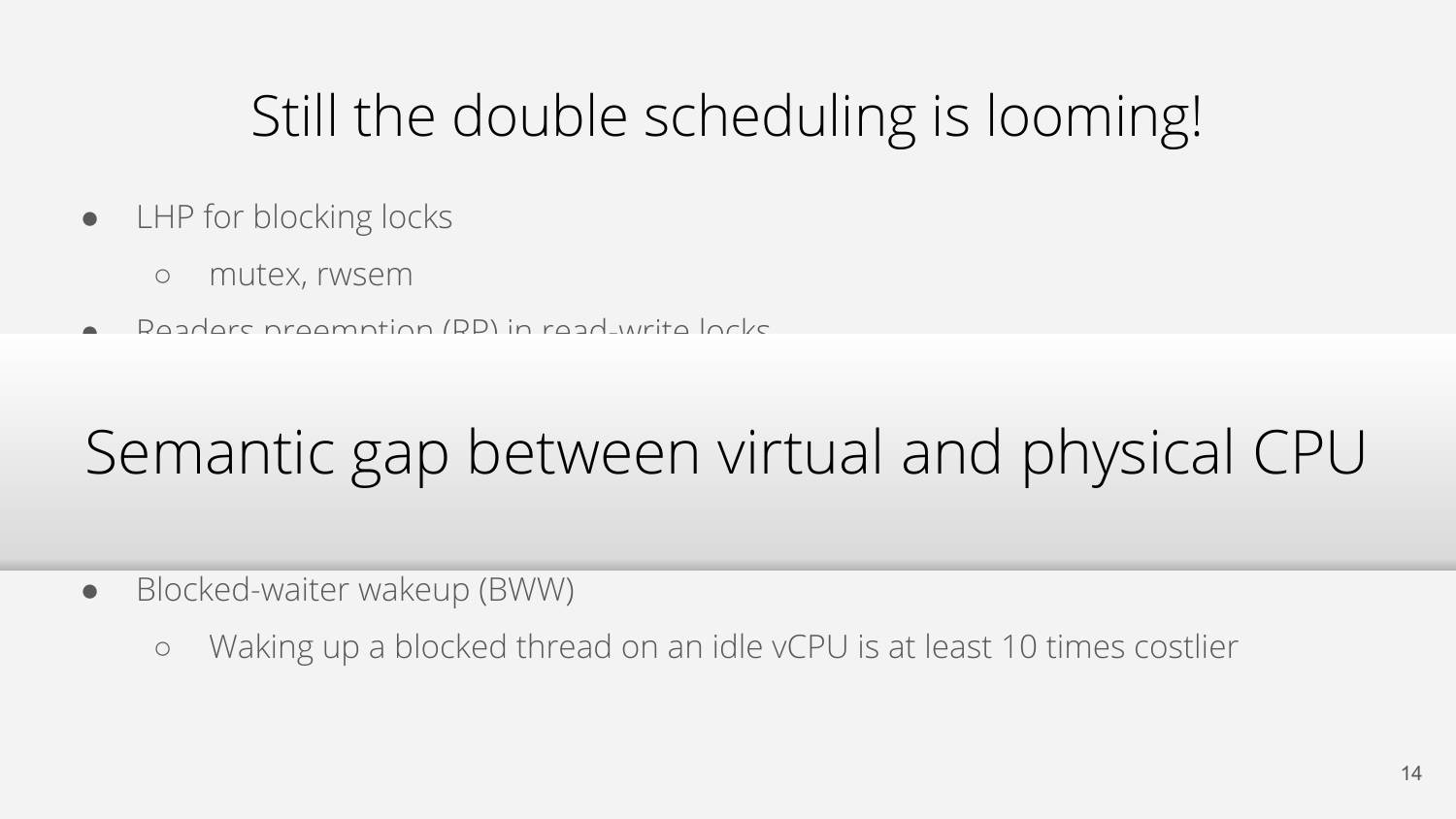## Still the double scheduling is looming!

- LHP for blocking locks
	- mutex, rwsem
- Readers preemption (RP) in read-write locks

# Semantic gap between virtual and physical CPU

- Blocked-waiter wakeup (BWW)
	- Waking up a blocked thread on an idle vCPU is at least 10 times costlier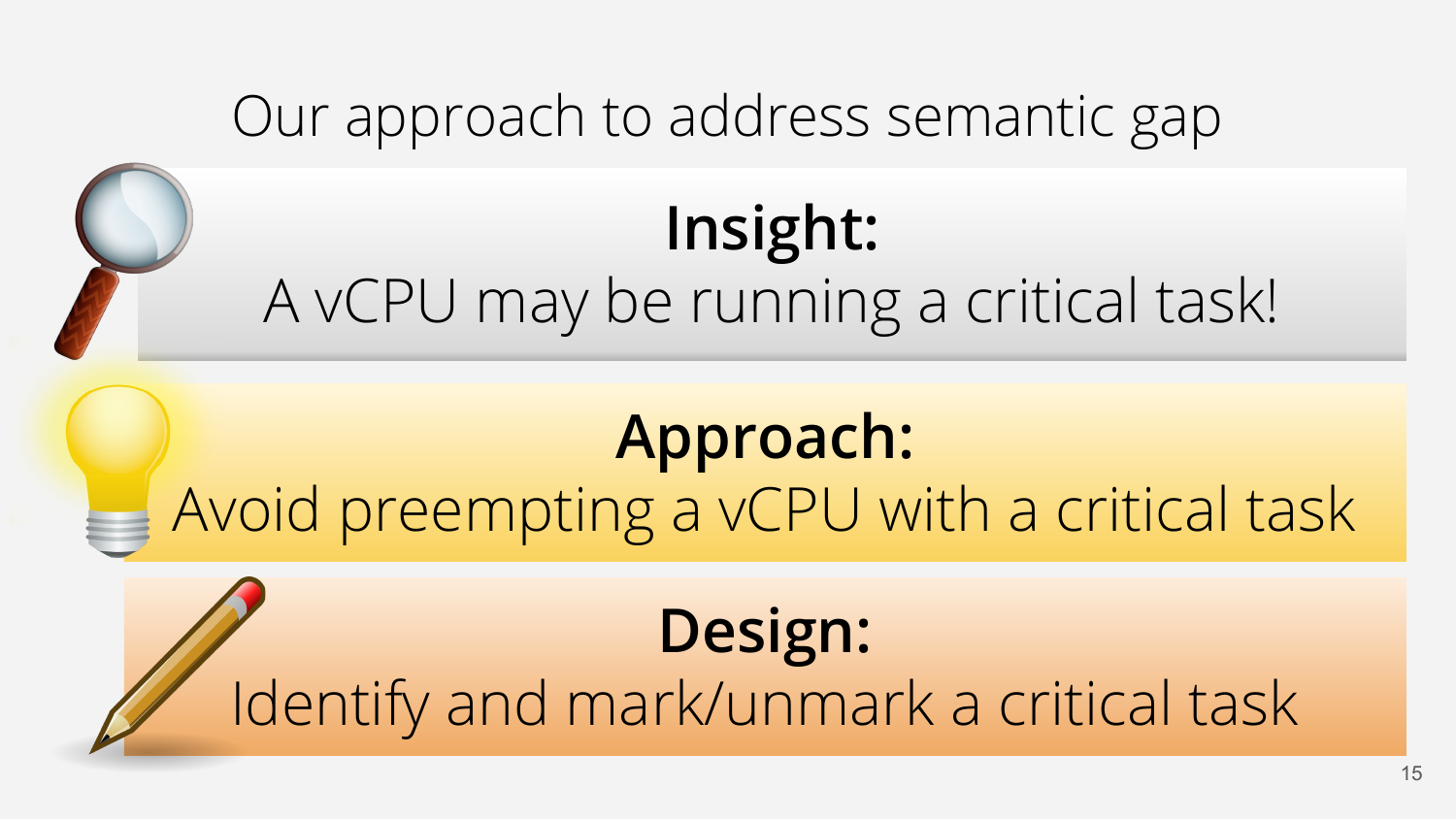# Our approach to address semantic gap **Insight:** A vCPU may be running a critical task! **Approach:** Avoid preempting a vCPU with a critical task **Design:** Identify and mark/unmark a critical task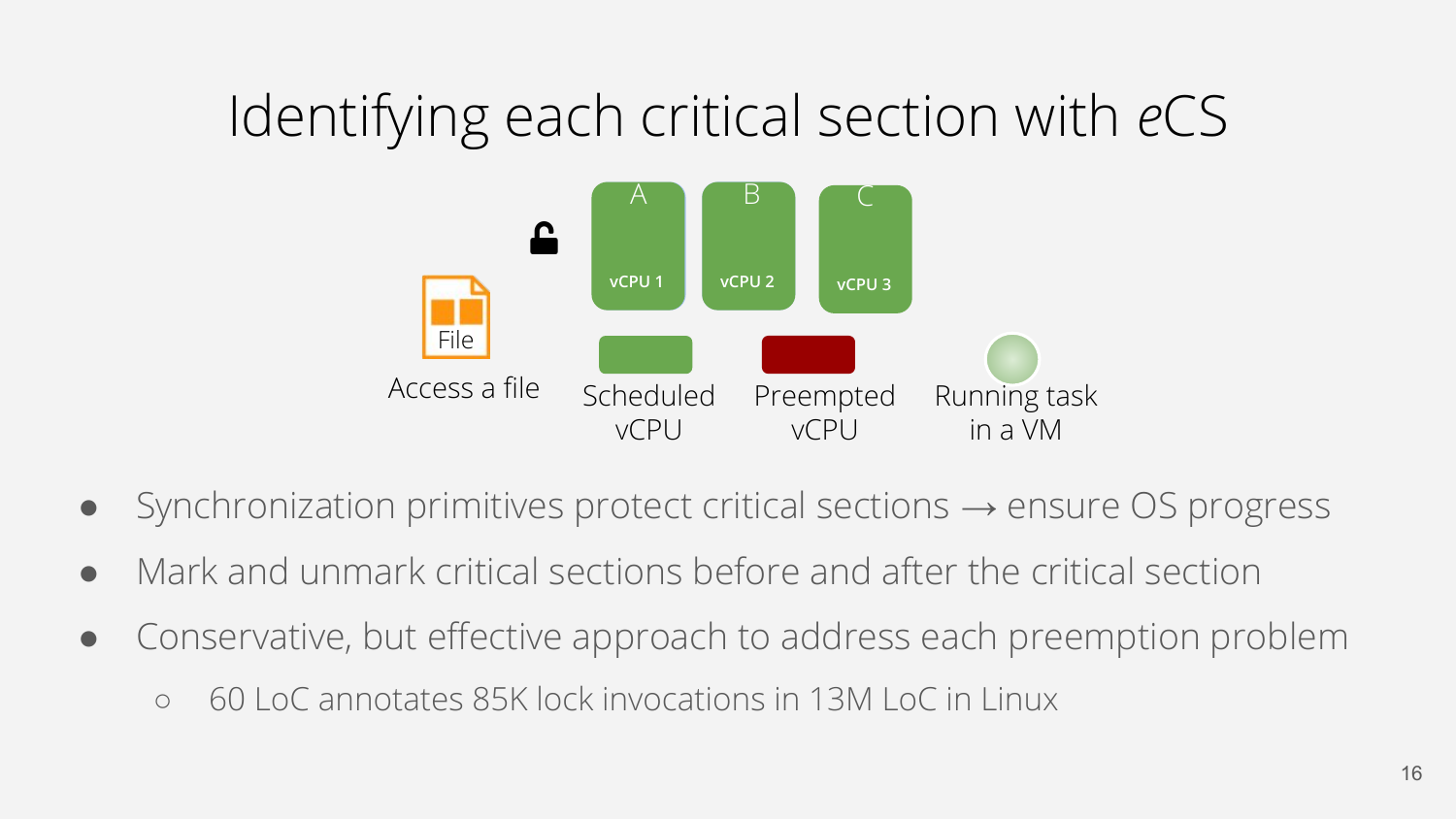### Identifying each critical section with *e*CS



- Synchronization primitives protect critical sections  $\rightarrow$  ensure OS progress
- Mark and unmark critical sections before and after the critical section
- Conservative, but effective approach to address each preemption problem
	- 60 LoC annotates 85K lock invocations in 13M LoC in Linux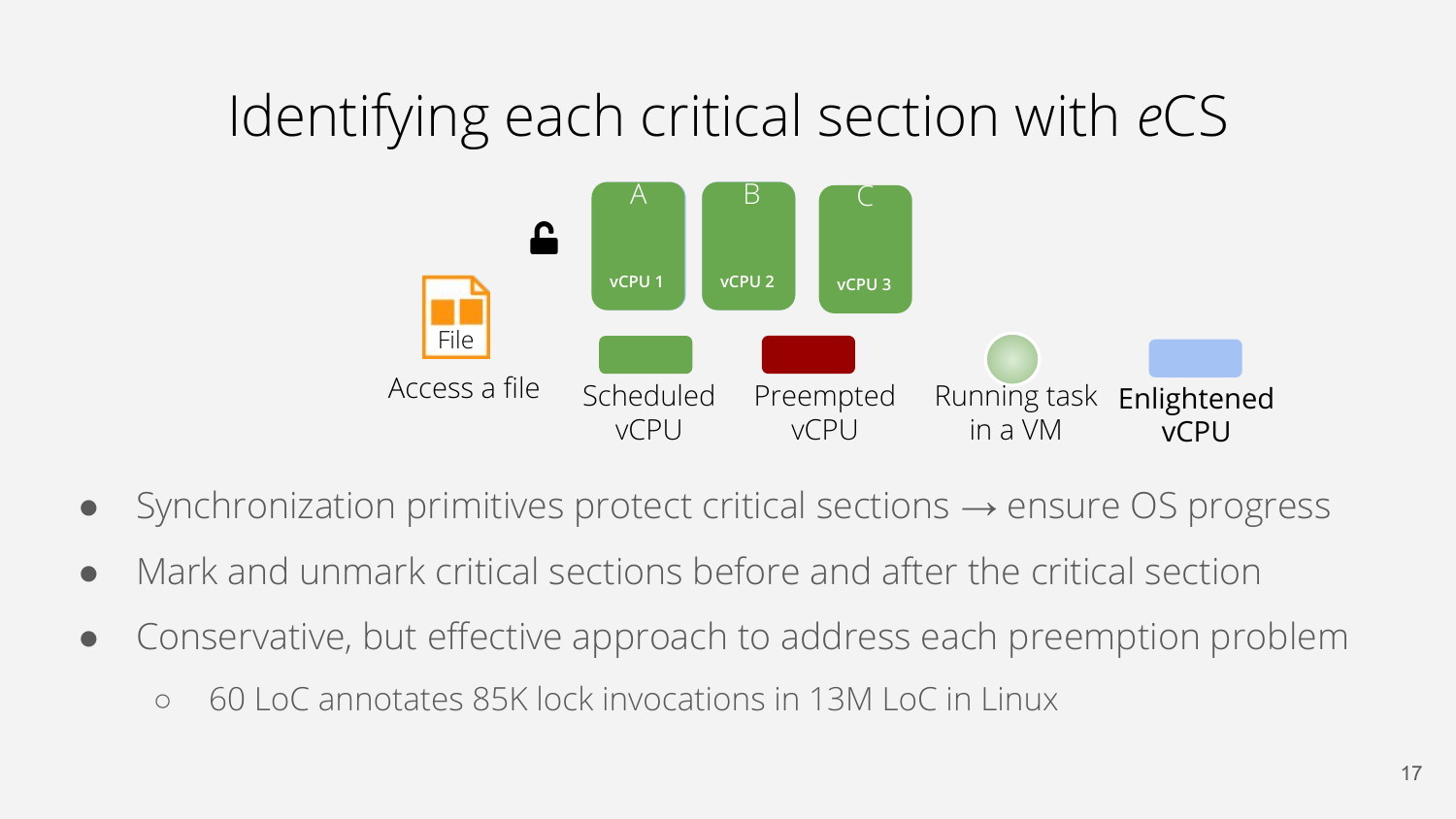## Identifying each critical section with *e*CS



- Synchronization primitives protect critical sections  $\rightarrow$  ensure OS progress
- Mark and unmark critical sections before and after the critical section
- Conservative, but effective approach to address each preemption problem
	- 60 LoC annotates 85K lock invocations in 13M LoC in Linux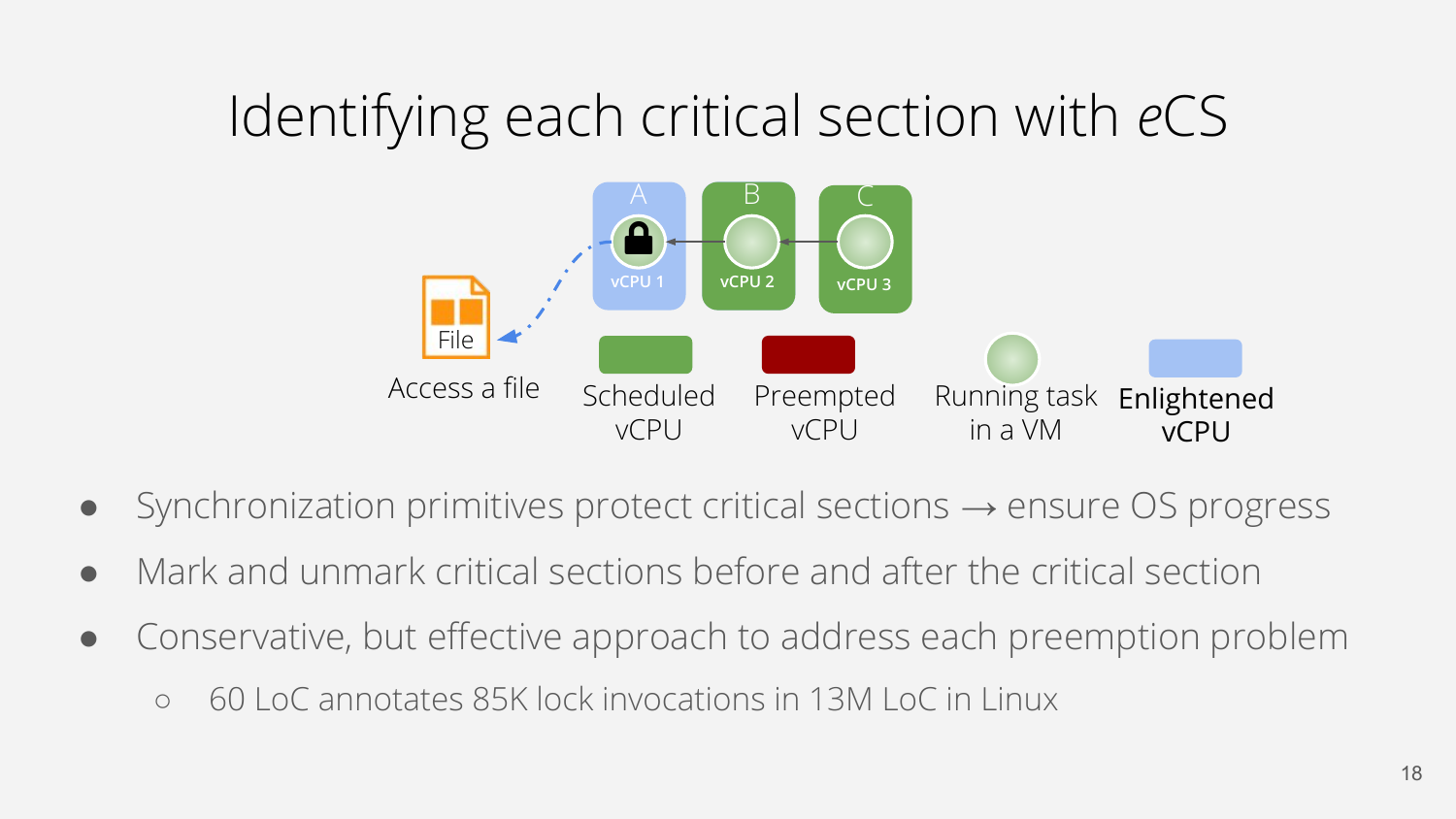## Identifying each critical section with *e*CS



- Synchronization primitives protect critical sections  $\rightarrow$  ensure OS progress
- Mark and unmark critical sections before and after the critical section
- Conservative, but effective approach to address each preemption problem
	- 60 LoC annotates 85K lock invocations in 13M LoC in Linux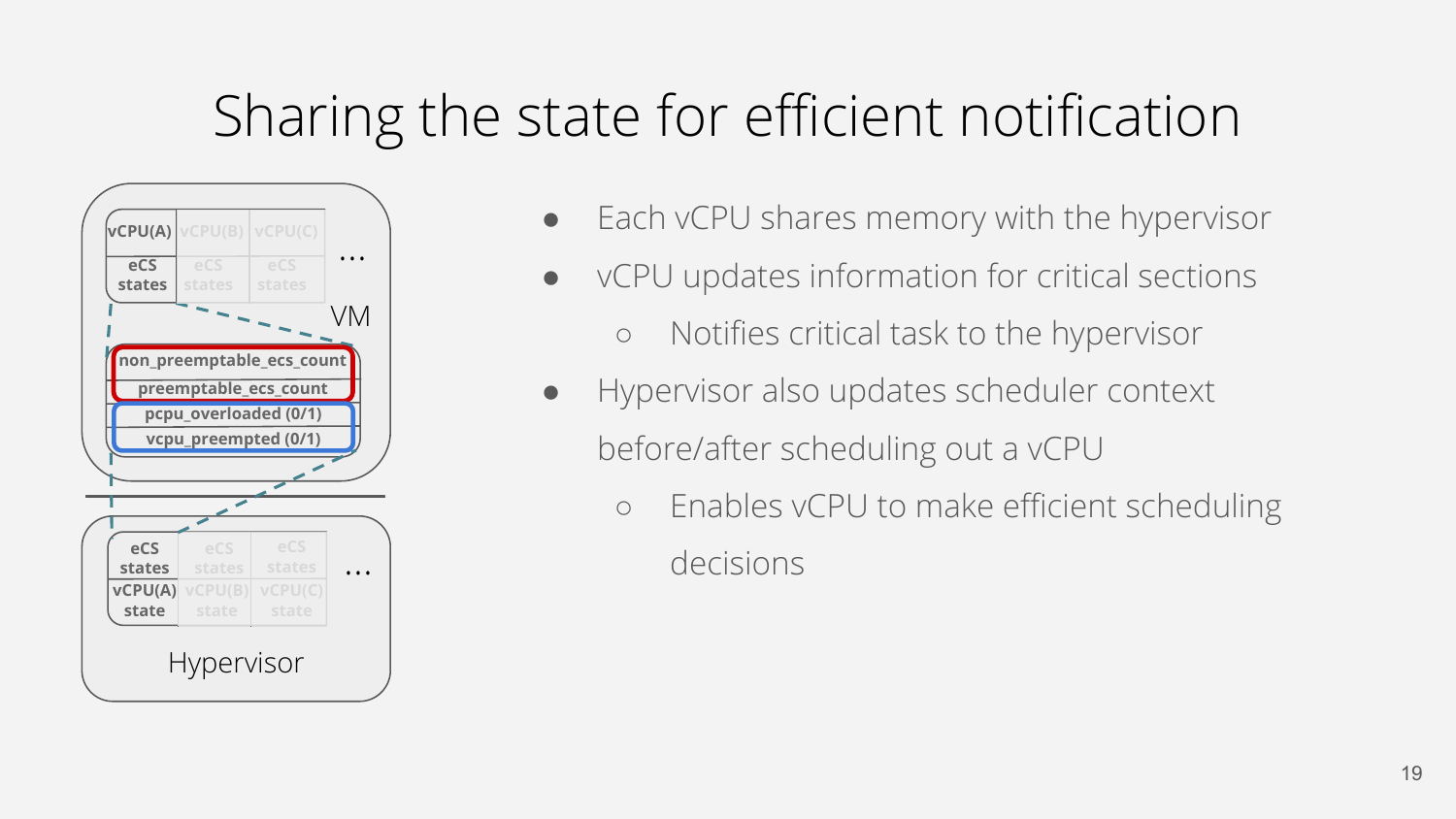## Sharing the state for efficient notification



- Each vCPU shares memory with the hypervisor
- vCPU updates information for critical sections
	- Notifies critical task to the hypervisor
- Hypervisor also updates scheduler context before/after scheduling out a vCPU
	- Enables vCPU to make efficient scheduling decisions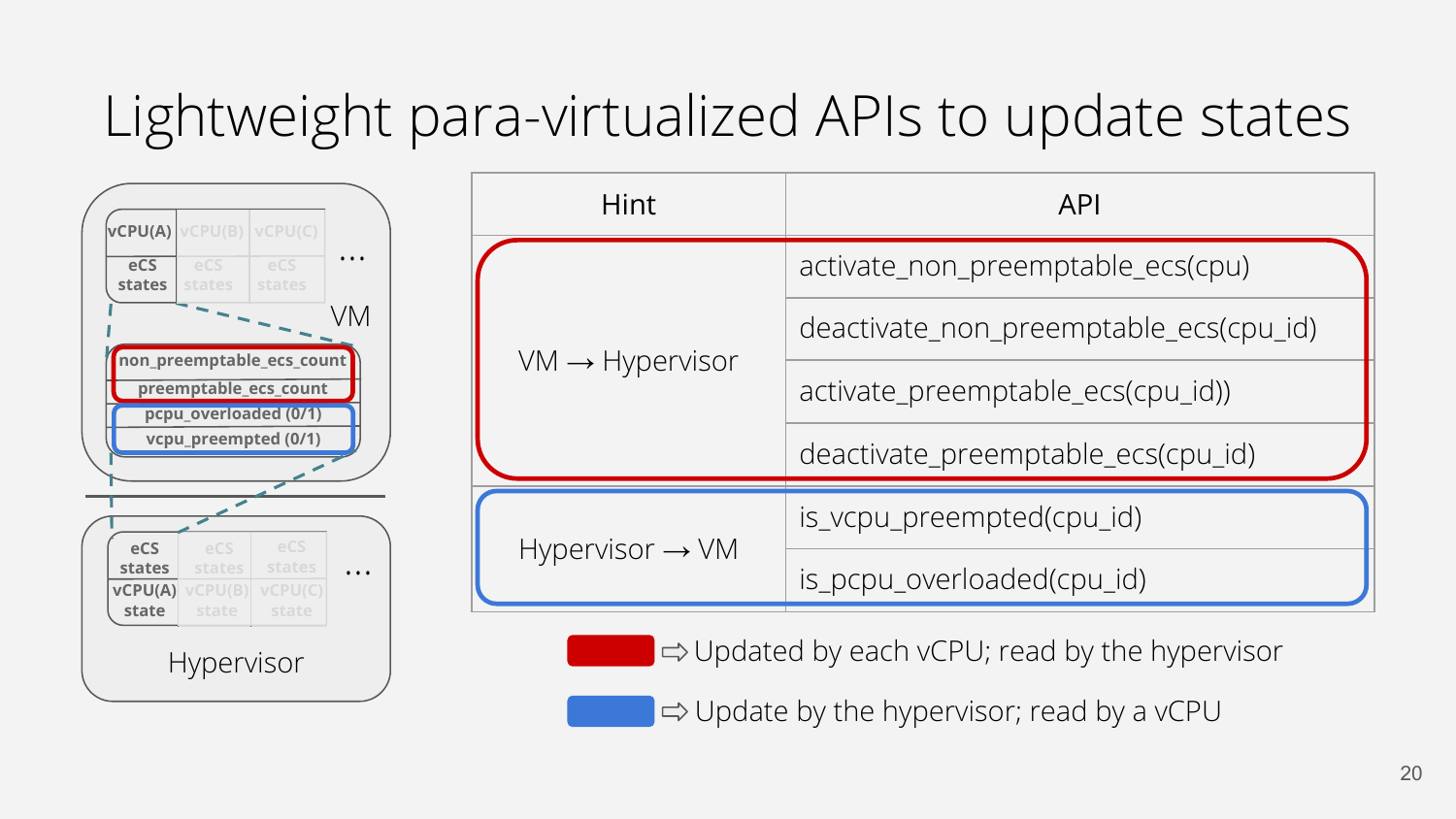## Lightweight para-virtualized APIs to update states



| Hint                        | <b>API</b>                             |
|-----------------------------|----------------------------------------|
| $VM \rightarrow Hypervisor$ | activate_non_preemptable_ecs(cpu)      |
|                             | deactivate_non_preemptable_ecs(cpu_id) |
|                             | activate_preemptable_ecs(cpu_id))      |
|                             | deactivate_preemptable_ecs(cpu_id)     |
| $Hypervisor \rightarrow VM$ | is_vcpu_preempted(cpu_id)              |
|                             | is_pcpu_overloaded(cpu_id)             |

 $\Rightarrow$  Updated by each vCPU; read by the hypervisor

 $\Rightarrow$  Update by the hypervisor; read by a vCPU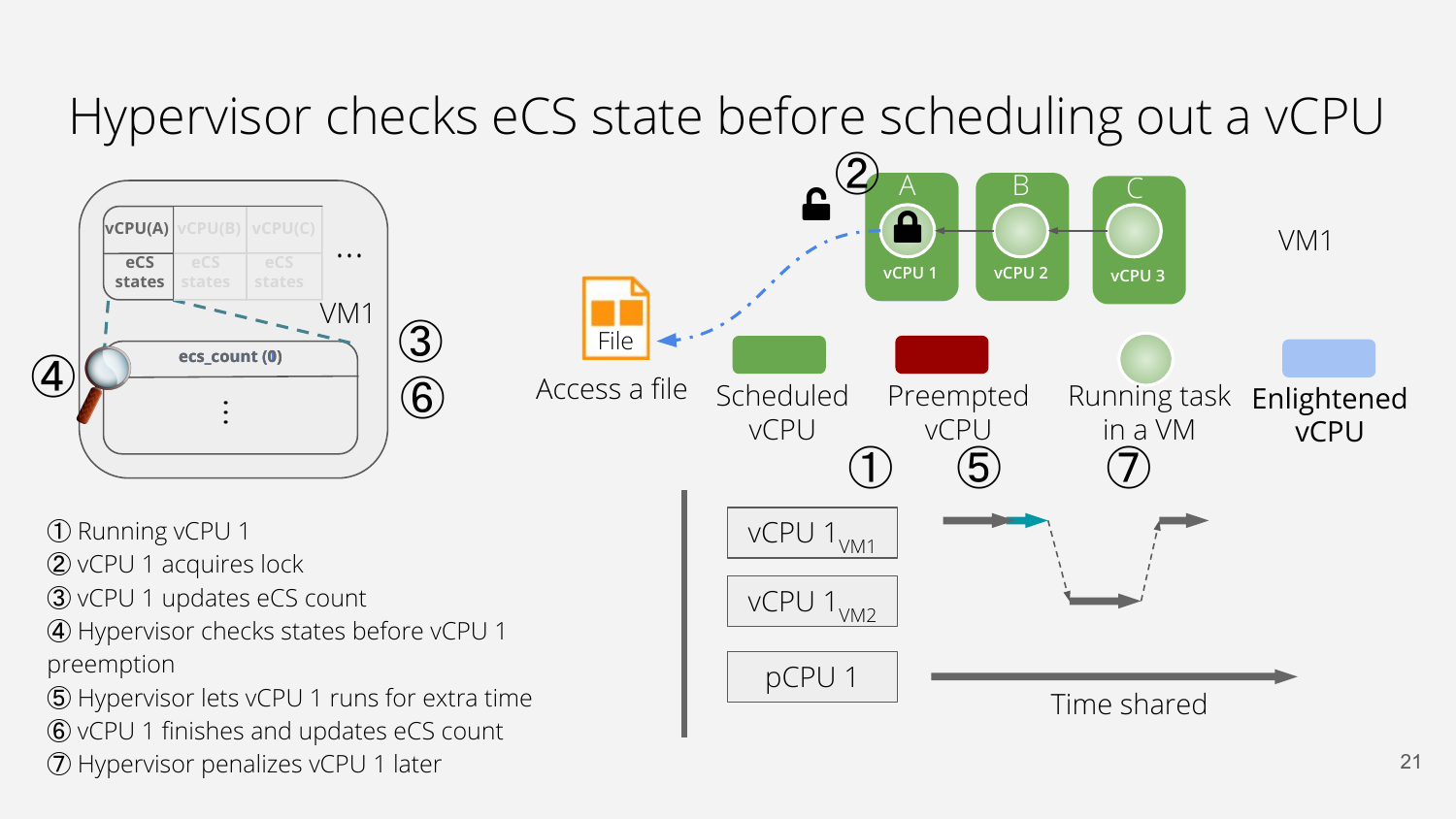#### Hypervisor checks eCS state before scheduling out a vCPU



➀ Running vCPU 1

- ➁ vCPU 1 acquires lock
- ➂ vCPU 1 updates eCS count
- ➃ Hypervisor checks states before vCPU 1 preemption
- ➄ Hypervisor lets vCPU 1 runs for extra time ➅ vCPU 1 finishes and updates eCS count ➆ Hypervisor penalizes vCPU 1 later

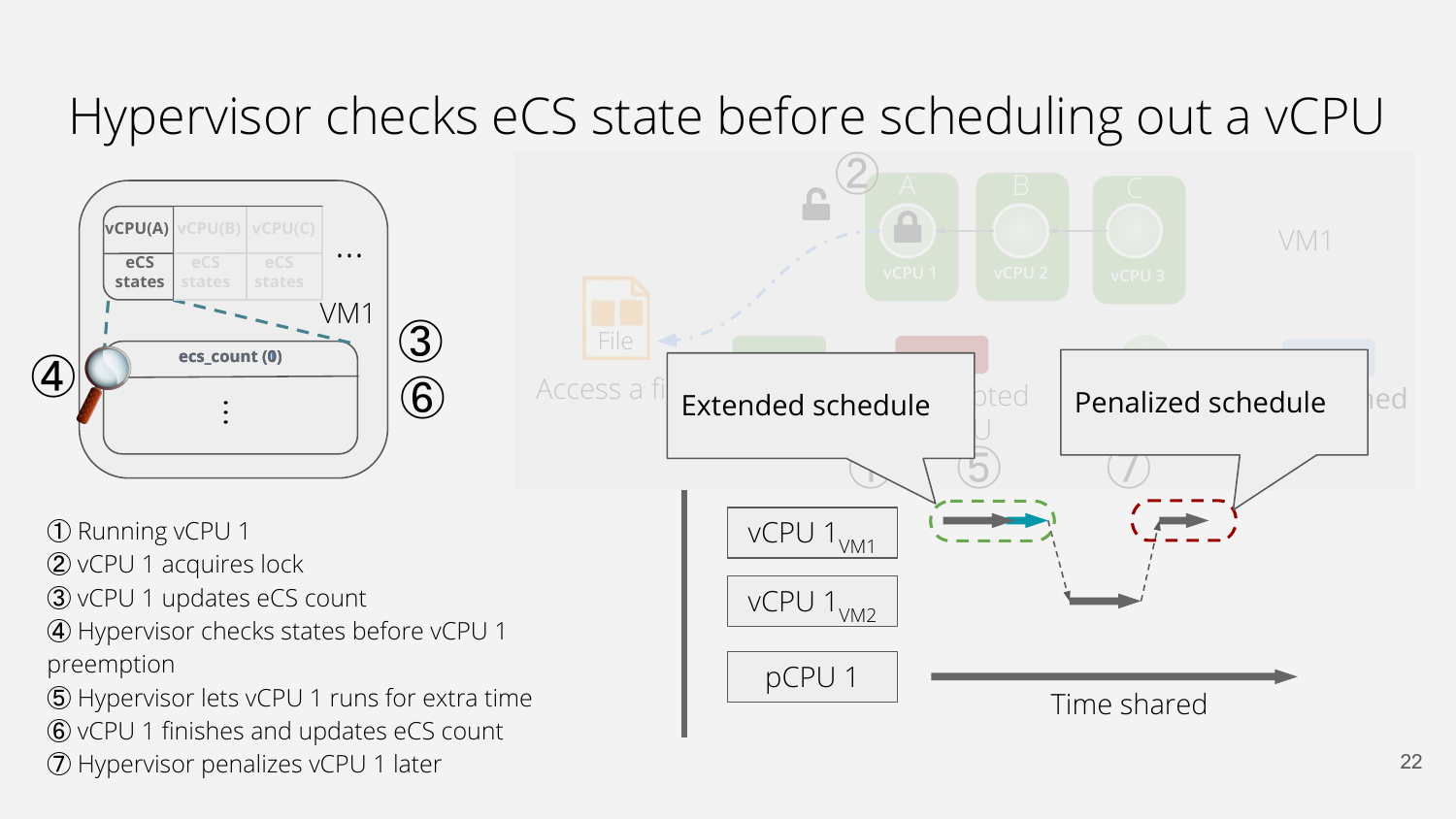#### Hypervisor checks eCS state before scheduling out a vCPU

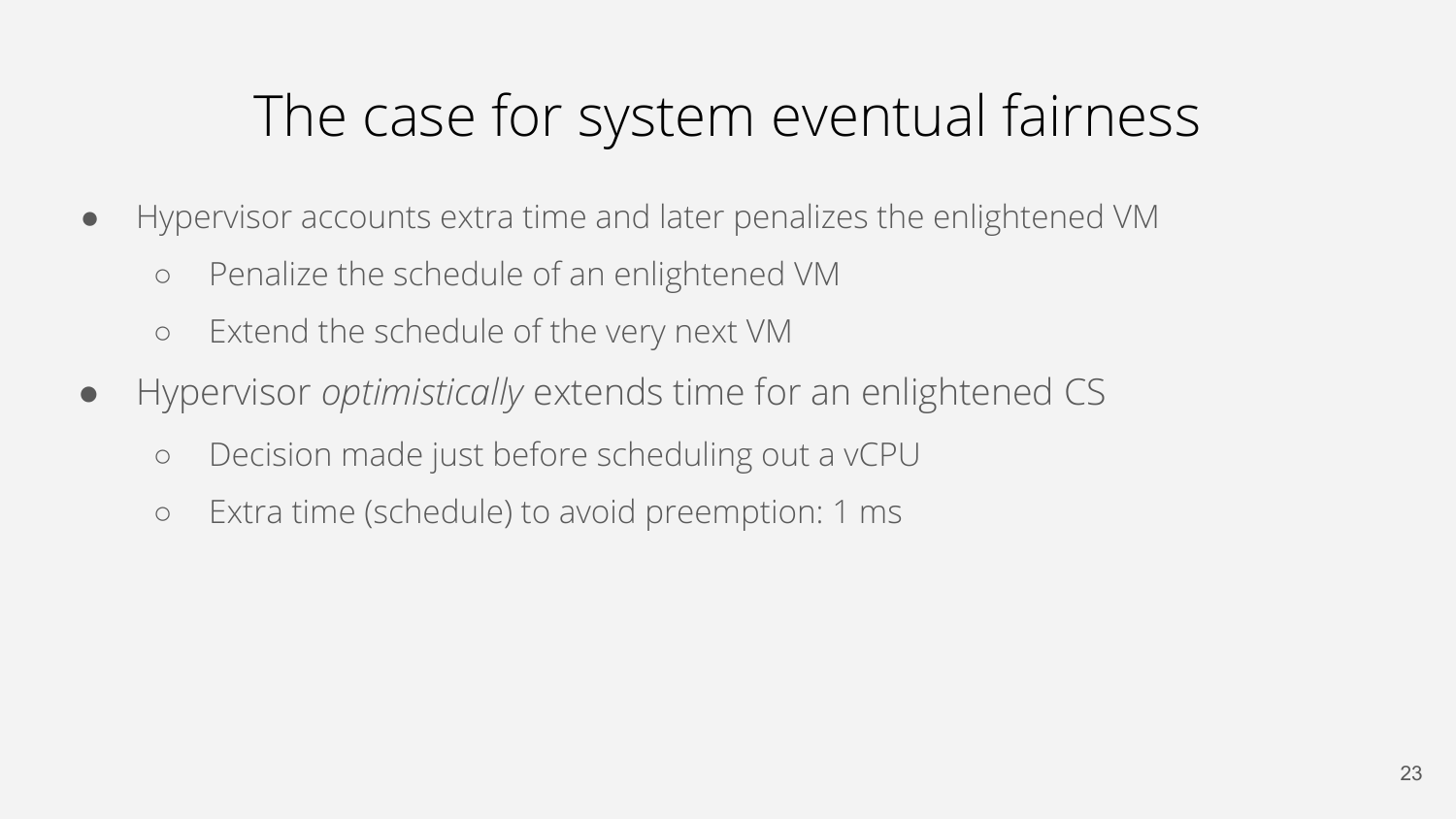# The case for system eventual fairness

- Hypervisor accounts extra time and later penalizes the enlightened VM
	- Penalize the schedule of an enlightened VM
	- Extend the schedule of the very next VM
- Hypervisor *optimistically* extends time for an enlightened CS
	- Decision made just before scheduling out a vCPU
	- Extra time (schedule) to avoid preemption: 1 ms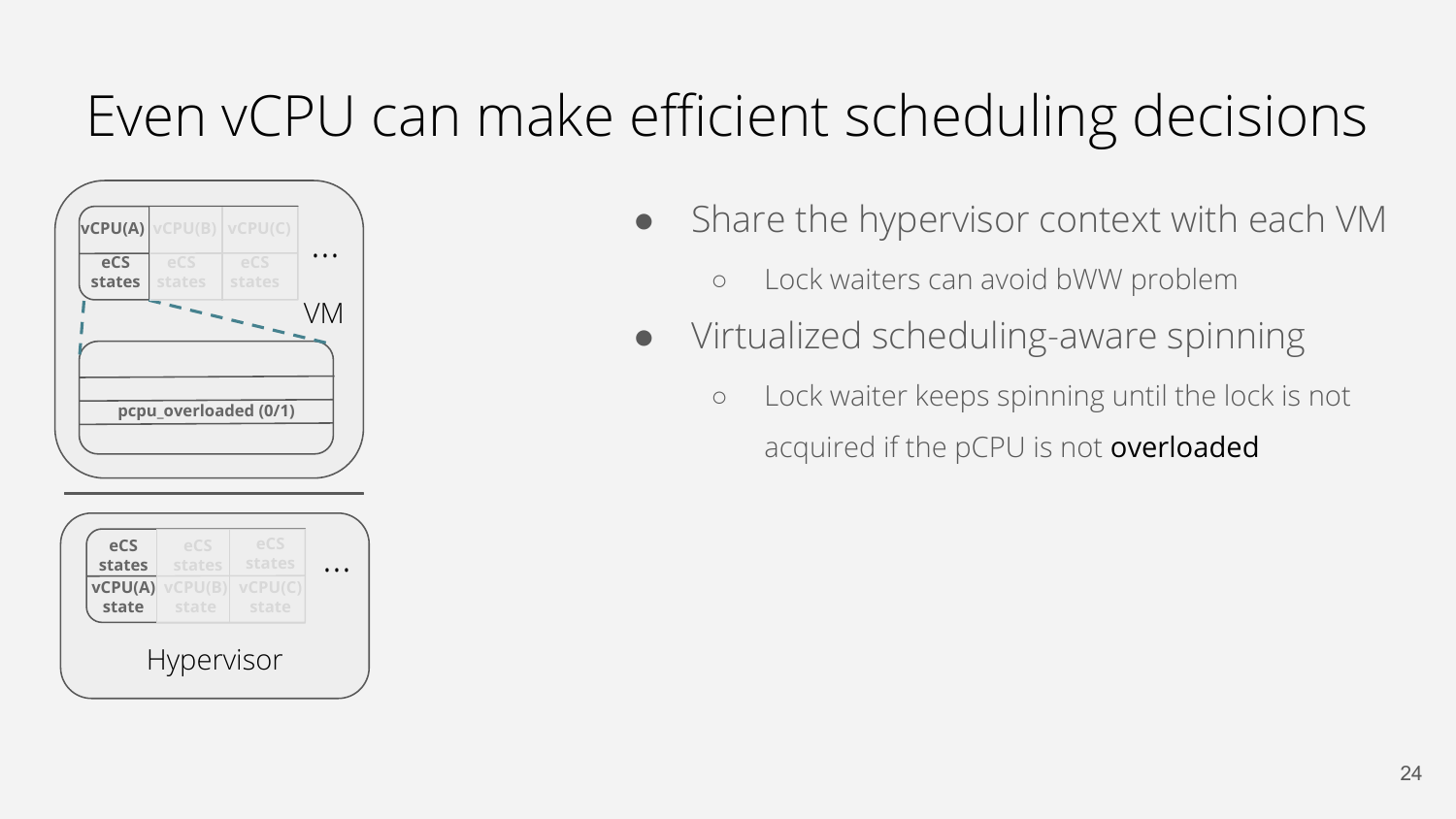# Even vCPU can make efficient scheduling decisions



Hypervisor

- Share the hypervisor context with each VM
	- Lock waiters can avoid bWW problem
- Virtualized scheduling-aware spinning
	- Lock waiter keeps spinning until the lock is not acquired if the pCPU is not overloaded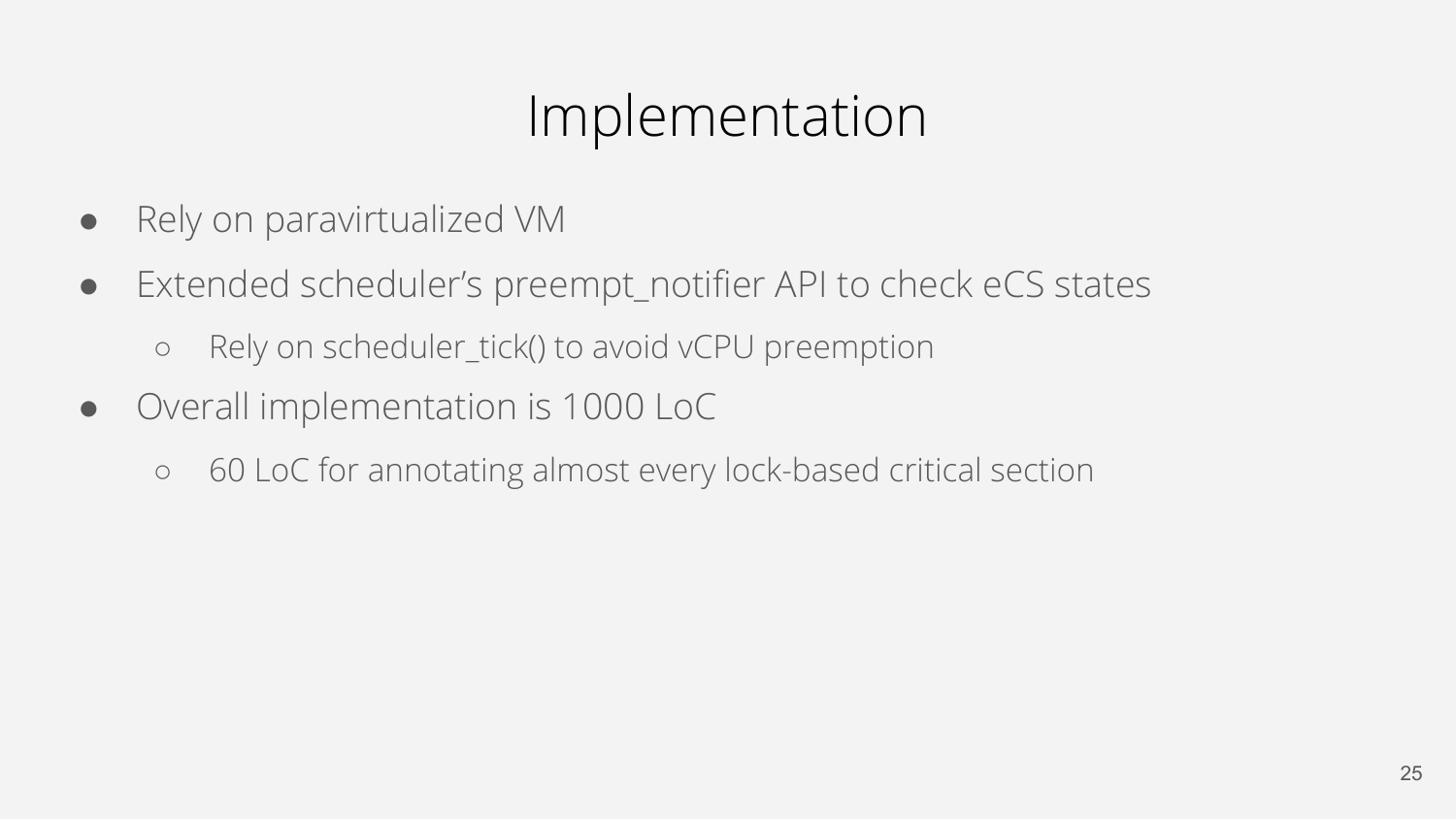#### Implementation

- Rely on paravirtualized VM
- Extended scheduler's preempt\_notifier API to check eCS states
	- o Rely on scheduler tick() to avoid vCPU preemption
- Overall implementation is 1000 LoC
	- 60 LoC for annotating almost every lock-based critical section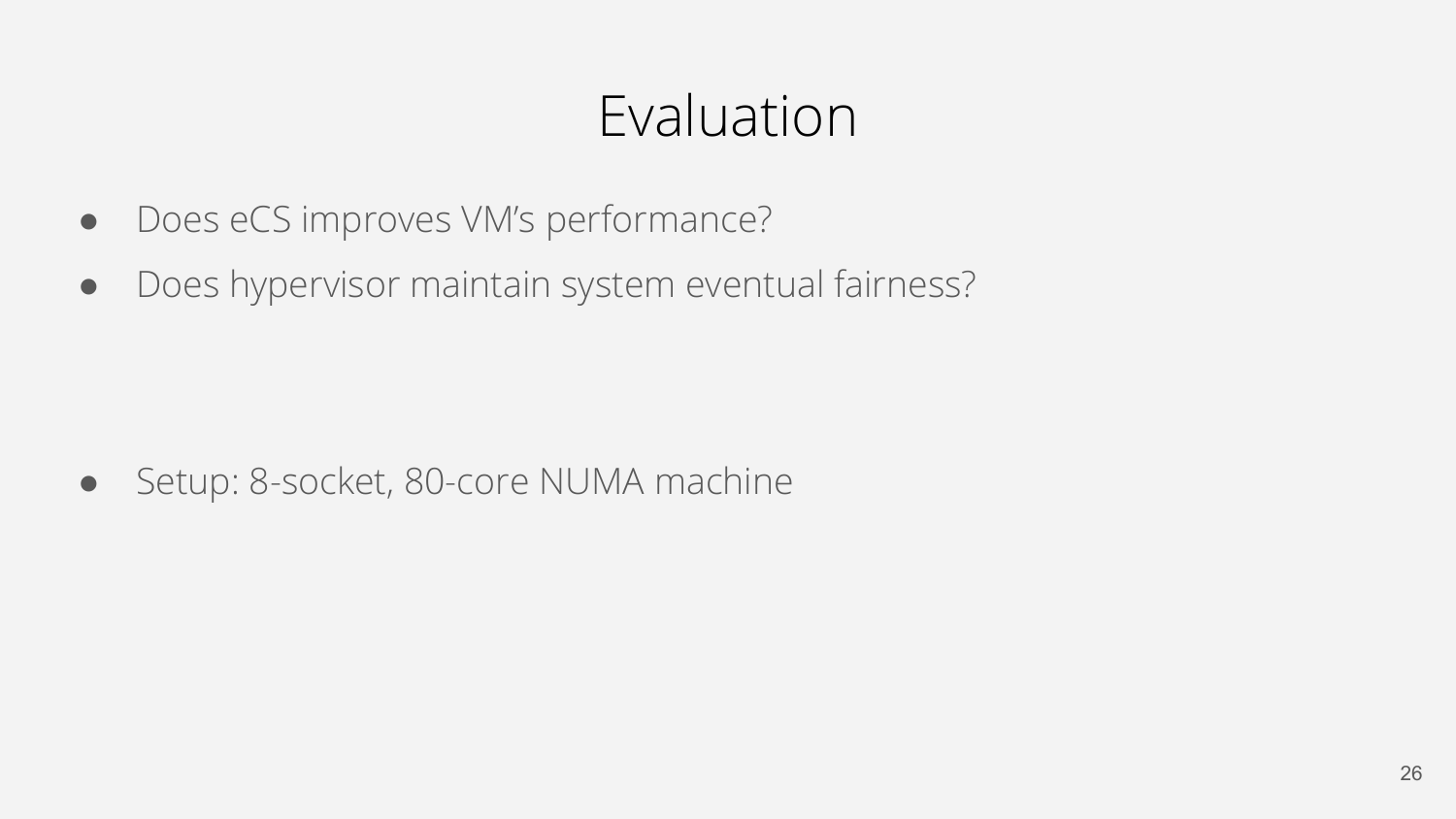#### Evaluation

- Does eCS improves VM's performance?
- Does hypervisor maintain system eventual fairness?

● Setup: 8-socket, 80-core NUMA machine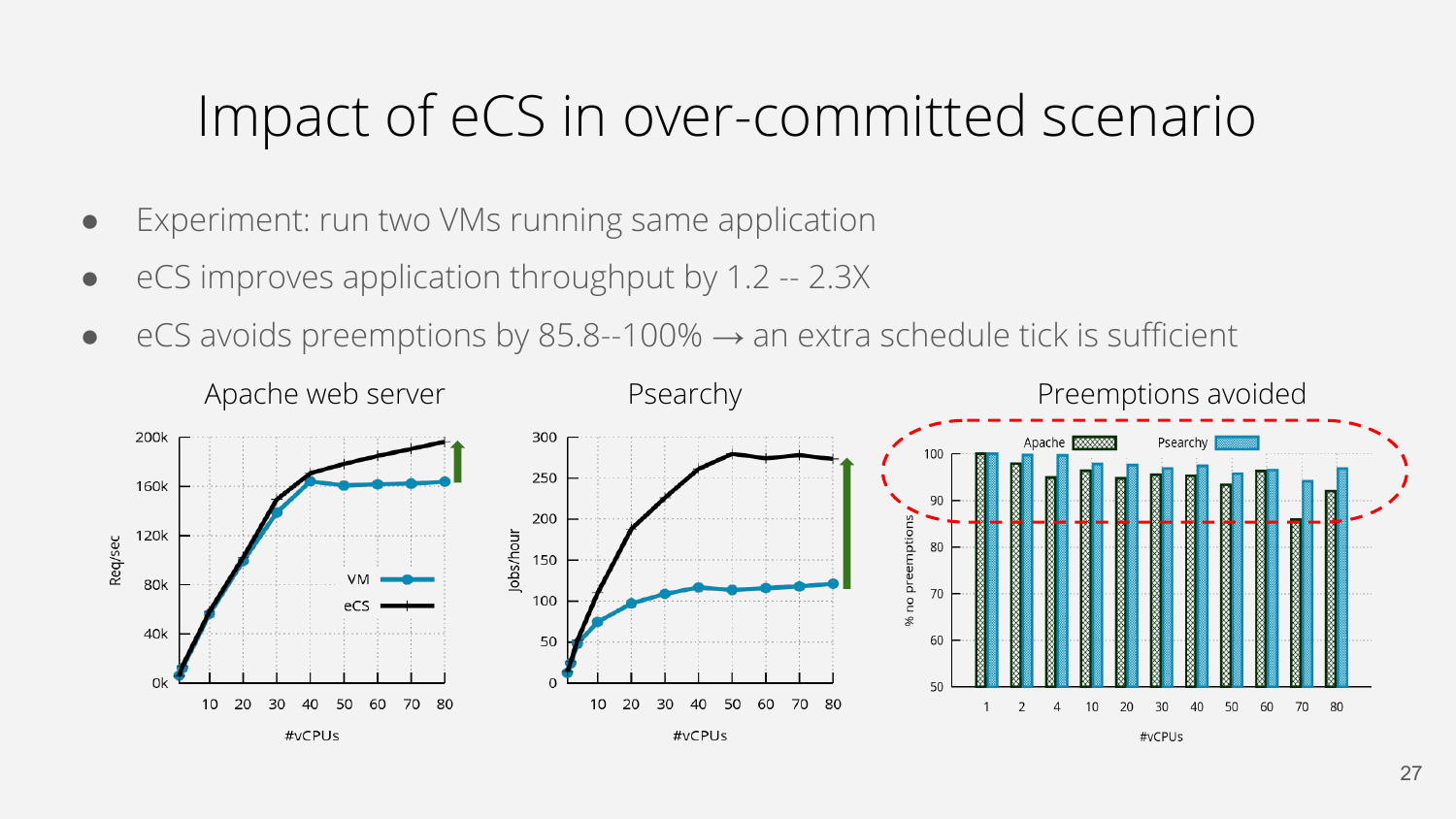#### Impact of eCS in over-committed scenario

- Experiment: run two VMs running same application
- eCS improves application throughput by 1.2 -- 2.3X
- $\bullet$  eCS avoids preemptions by 85.8--100%  $\rightarrow$  an extra schedule tick is sufficient

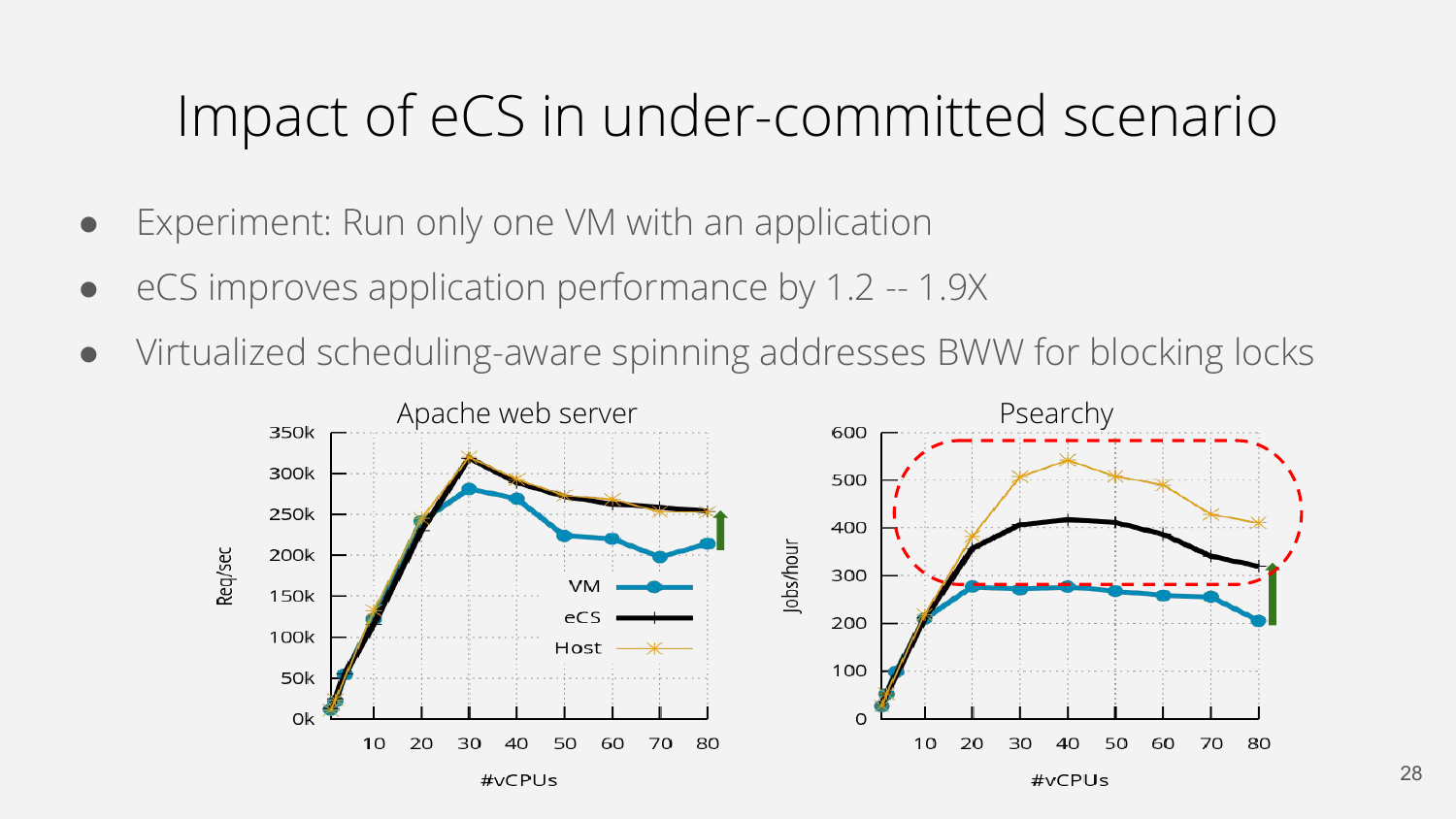#### Impact of eCS in under-committed scenario

- Experiment: Run only one VM with an application
- eCS improves application performance by 1.2 -- 1.9X
- Virtualized scheduling-aware spinning addresses BWW for blocking locks

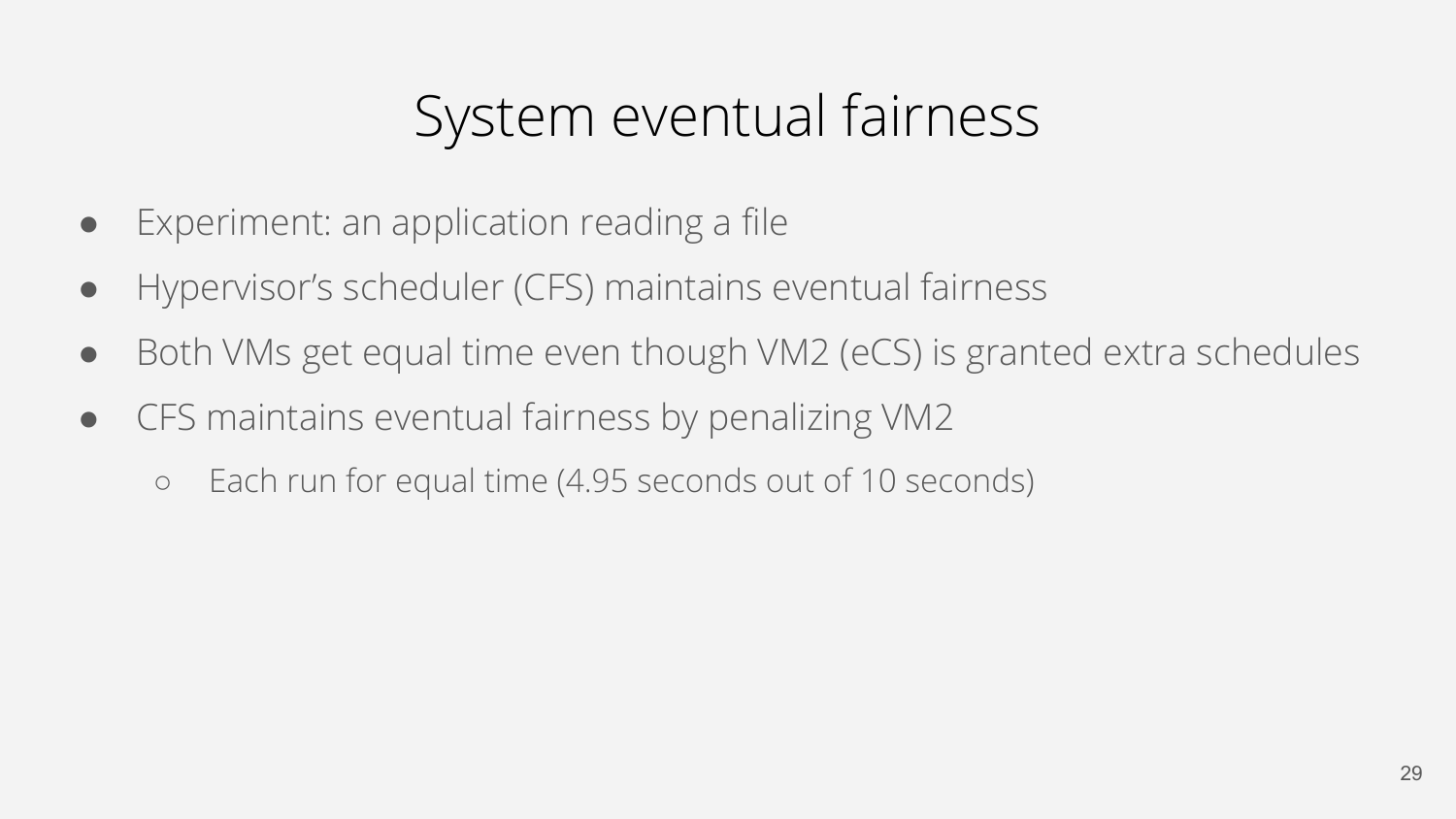#### System eventual fairness

- Experiment: an application reading a file
- Hypervisor's scheduler (CFS) maintains eventual fairness
- Both VMs get equal time even though VM2 (eCS) is granted extra schedules
- CFS maintains eventual fairness by penalizing VM2
	- Each run for equal time (4.95 seconds out of 10 seconds)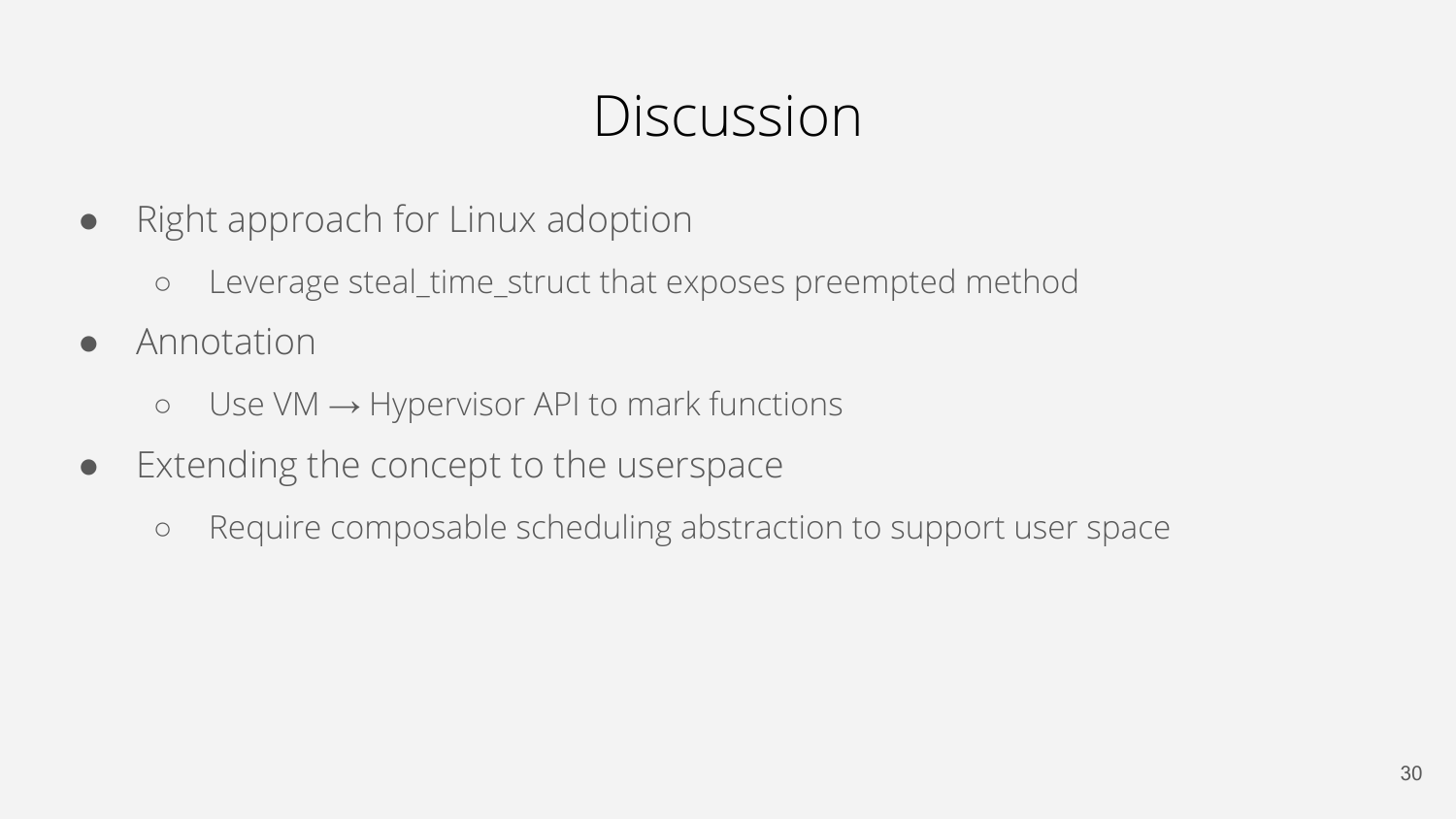#### Discussion

- Right approach for Linux adoption
	- Leverage steal\_time\_struct that exposes preempted method
- Annotation
	- $\circ$  Use VM  $\rightarrow$  Hypervisor API to mark functions
- Extending the concept to the userspace
	- Require composable scheduling abstraction to support user space